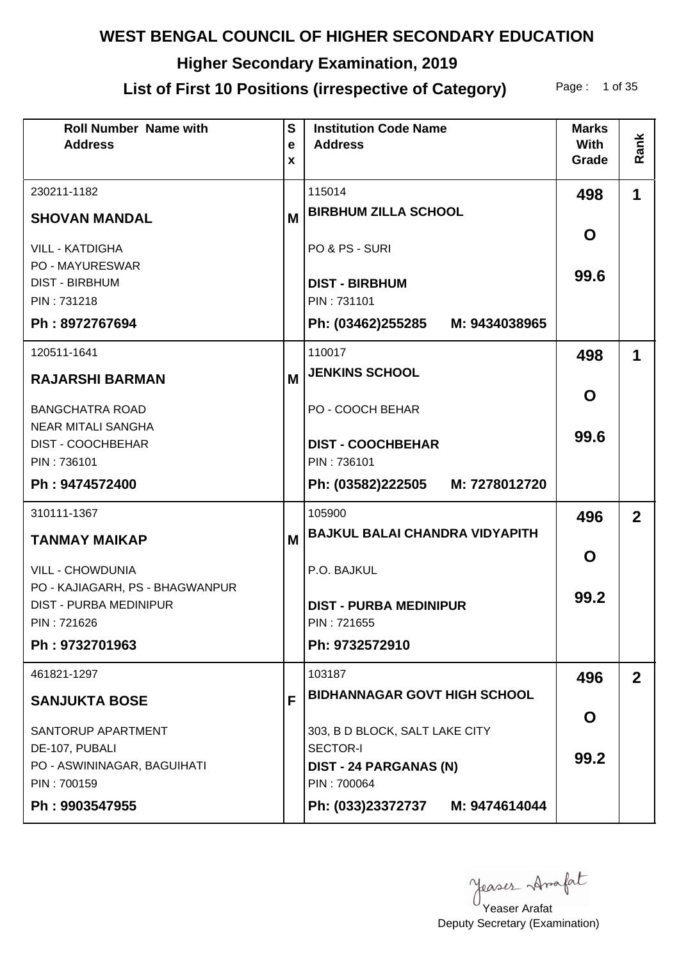# **Higher Secondary Examination, 2019**

## List of First 10 Positions (irrespective of Category) Page: 1 of 35

| <b>Roll Number Name with</b><br><b>Address</b>                            | S<br>e<br>X | <b>Institution Code Name</b><br><b>Address</b> | <b>Marks</b><br><b>With</b><br>Grade | Rank           |
|---------------------------------------------------------------------------|-------------|------------------------------------------------|--------------------------------------|----------------|
| 230211-1182                                                               |             | 115014                                         | 498                                  | 1              |
| <b>SHOVAN MANDAL</b>                                                      | M           | <b>BIRBHUM ZILLA SCHOOL</b>                    |                                      |                |
| <b>VILL - KATDIGHA</b><br><b>PO - MAYURESWAR</b><br><b>DIST - BIRBHUM</b> |             | PO & PS - SURI<br><b>DIST - BIRBHUM</b>        | O<br>99.6                            |                |
| PIN: 731218                                                               |             | PIN: 731101                                    |                                      |                |
| Ph: 8972767694                                                            |             | Ph: (03462)255285 M: 9434038965                |                                      |                |
| 120511-1641                                                               |             | 110017                                         | 498                                  | 1              |
| <b>RAJARSHI BARMAN</b>                                                    | M           | <b>JENKINS SCHOOL</b>                          |                                      |                |
| <b>BANGCHATRA ROAD</b><br><b>NEAR MITALI SANGHA</b>                       |             | PO - COOCH BEHAR                               | O                                    |                |
| <b>DIST - COOCHBEHAR</b><br>PIN: 736101                                   |             | <b>DIST - COOCHBEHAR</b><br>PIN: 736101        | 99.6                                 |                |
| Ph: 9474572400                                                            |             | Ph: (03582)222505<br>M: 7278012720             |                                      |                |
| 310111-1367                                                               |             | 105900                                         | 496                                  | $\overline{2}$ |
| <b>TANMAY MAIKAP</b>                                                      | M           | <b>BAJKUL BALAI CHANDRA VIDYAPITH</b>          |                                      |                |
| <b>VILL - CHOWDUNIA</b>                                                   |             | P.O. BAJKUL                                    | O                                    |                |
| PO - KAJIAGARH, PS - BHAGWANPUR<br><b>DIST - PURBA MEDINIPUR</b>          |             | <b>DIST - PURBA MEDINIPUR</b>                  | 99.2                                 |                |
| PIN: 721626                                                               |             | PIN: 721655                                    |                                      |                |
| Ph: 9732701963                                                            |             | Ph: 9732572910                                 |                                      |                |
| 461821-1297                                                               |             | 103187                                         | 496                                  | $\overline{2}$ |
| <b>SANJUKTA BOSE</b>                                                      | F           | <b>BIDHANNAGAR GOVT HIGH SCHOOL</b>            |                                      |                |
| SANTORUP APARTMENT                                                        |             | 303, B D BLOCK, SALT LAKE CITY                 | O                                    |                |
| DE-107, PUBALI<br>PO - ASWININAGAR, BAGUIHATI                             |             | <b>SECTOR-I</b><br>DIST - 24 PARGANAS (N)      | 99.2                                 |                |
| PIN: 700159                                                               |             | PIN: 700064                                    |                                      |                |
| Ph: 9903547955                                                            |             | Ph: (033)23372737 M: 9474614044                |                                      |                |

yeases Anafat

Deputy Secretary (Examination) Yeaser Arafat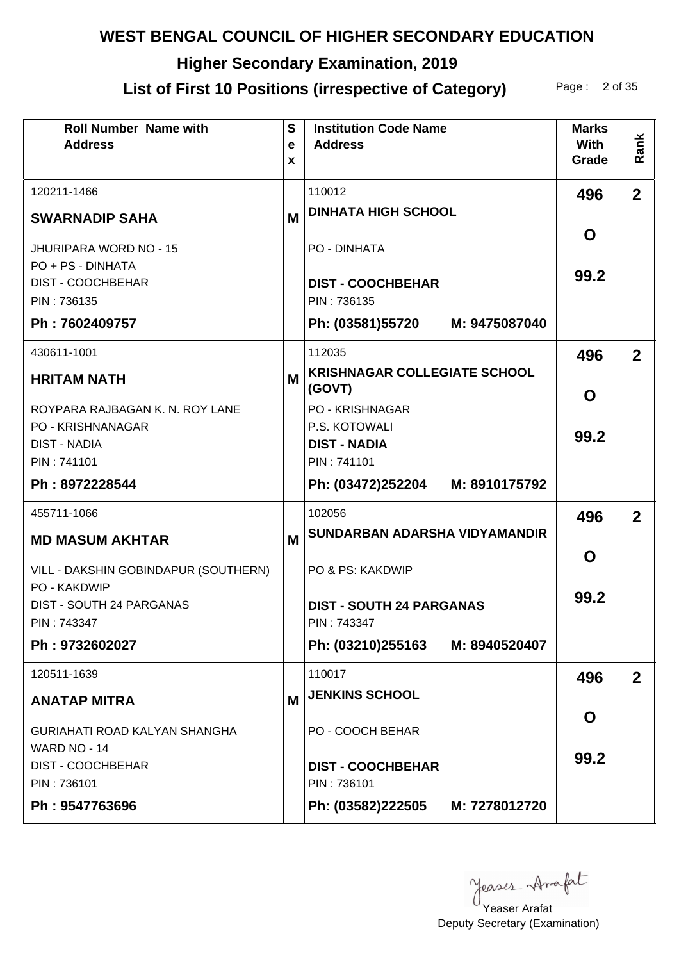# **Higher Secondary Examination, 2019**

# List of First 10 Positions (irrespective of Category) Page: 2 of 35

| <b>Roll Number Name with</b><br><b>Address</b>       | $\mathbf{s}$<br>$\mathbf e$<br>X | <b>Institution Code Name</b><br><b>Address</b> | <b>Marks</b><br><b>With</b><br>Grade | Rank           |
|------------------------------------------------------|----------------------------------|------------------------------------------------|--------------------------------------|----------------|
| 120211-1466                                          |                                  | 110012                                         | 496                                  | 2 <sup>1</sup> |
| <b>SWARNADIP SAHA</b>                                | M                                | <b>DINHATA HIGH SCHOOL</b>                     |                                      |                |
| <b>JHURIPARA WORD NO - 15</b>                        |                                  | PO - DINHATA                                   | O                                    |                |
| PO + PS - DINHATA                                    |                                  |                                                | 99.2                                 |                |
| <b>DIST - COOCHBEHAR</b><br>PIN: 736135              |                                  | <b>DIST - COOCHBEHAR</b><br>PIN: 736135        |                                      |                |
| Ph: 7602409757                                       |                                  | Ph: (03581)55720 M: 9475087040                 |                                      |                |
| 430611-1001                                          |                                  | 112035                                         | 496                                  | $\overline{2}$ |
| <b>HRITAM NATH</b>                                   | M                                | <b>KRISHNAGAR COLLEGIATE SCHOOL</b><br>(GOVT)  | O                                    |                |
| ROYPARA RAJBAGAN K. N. ROY LANE                      |                                  | <b>PO - KRISHNAGAR</b>                         |                                      |                |
| PO - KRISHNANAGAR<br><b>DIST - NADIA</b>             |                                  | P.S. KOTOWALI<br><b>DIST - NADIA</b>           | 99.2                                 |                |
| PIN: 741101                                          |                                  | PIN: 741101                                    |                                      |                |
| Ph: 8972228544                                       |                                  | Ph: (03472)252204 M: 8910175792                |                                      |                |
| 455711-1066                                          |                                  | 102056                                         | 496                                  | $\overline{2}$ |
| <b>MD MASUM AKHTAR</b>                               | M                                | SUNDARBAN ADARSHA VIDYAMANDIR                  |                                      |                |
| VILL - DAKSHIN GOBINDAPUR (SOUTHERN)<br>PO - KAKDWIP |                                  | PO & PS: KAKDWIP                               | O                                    |                |
| DIST - SOUTH 24 PARGANAS<br>PIN: 743347              |                                  | <b>DIST - SOUTH 24 PARGANAS</b><br>PIN: 743347 | 99.2                                 |                |
| Ph: 9732602027                                       |                                  | Ph: (03210)255163 M: 8940520407                |                                      |                |
| 120511-1639                                          |                                  | 110017                                         | 496                                  | 2 <sup>2</sup> |
| <b>ANATAP MITRA</b>                                  | M                                | <b>JENKINS SCHOOL</b>                          |                                      |                |
| <b>GURIAHATI ROAD KALYAN SHANGHA</b><br>WARD NO - 14 |                                  | PO - COOCH BEHAR                               | O                                    |                |
| <b>DIST - COOCHBEHAR</b><br>PIN: 736101              |                                  | <b>DIST - COOCHBEHAR</b><br>PIN: 736101        | 99.2                                 |                |
| Ph: 9547763696                                       |                                  | Ph: (03582)222505 M: 7278012720                |                                      |                |

yeases Amafat

Deputy Secretary (Examination) Yeaser Arafat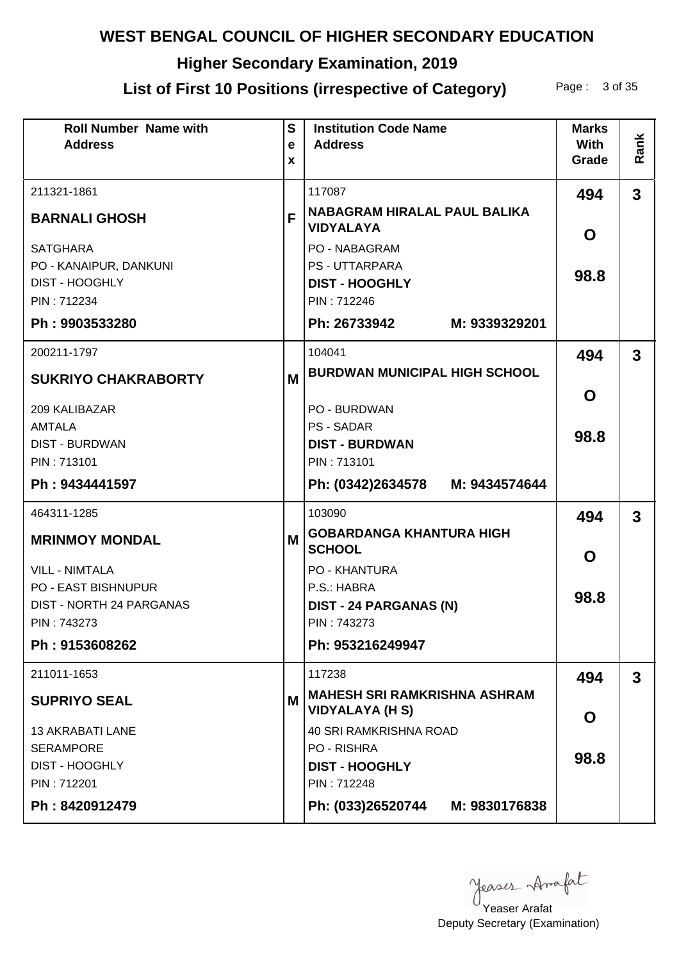# **Higher Secondary Examination, 2019**

# List of First 10 Positions (irrespective of Category) Page: 3 of 35

| <b>Roll Number Name with</b><br><b>Address</b>  | $\mathbf{s}$<br>$\mathbf e$<br>X | <b>Institution Code Name</b><br><b>Address</b>                | <b>Marks</b><br><b>With</b><br>Grade | Rank         |
|-------------------------------------------------|----------------------------------|---------------------------------------------------------------|--------------------------------------|--------------|
| 211321-1861<br><b>BARNALI GHOSH</b>             | F                                | 117087<br><b>NABAGRAM HIRALAL PAUL BALIKA</b>                 | 494                                  | $\mathbf{3}$ |
|                                                 |                                  | <b>VIDYALAYA</b>                                              | O                                    |              |
| <b>SATGHARA</b>                                 |                                  | <b>PO - NABAGRAM</b>                                          |                                      |              |
| PO - KANAIPUR, DANKUNI<br><b>DIST - HOOGHLY</b> |                                  | <b>PS - UTTARPARA</b><br><b>DIST - HOOGHLY</b>                | 98.8                                 |              |
| PIN: 712234                                     |                                  | PIN: 712246                                                   |                                      |              |
| Ph: 9903533280                                  |                                  | Ph: 26733942<br>M: 9339329201                                 |                                      |              |
| 200211-1797                                     |                                  | 104041                                                        | 494                                  | 3            |
| <b>SUKRIYO CHAKRABORTY</b>                      | M                                | <b>BURDWAN MUNICIPAL HIGH SCHOOL</b>                          |                                      |              |
|                                                 |                                  |                                                               | O                                    |              |
| 209 KALIBAZAR<br><b>AMTALA</b>                  |                                  | PO - BURDWAN<br><b>PS - SADAR</b>                             |                                      |              |
| <b>DIST - BURDWAN</b>                           |                                  | <b>DIST - BURDWAN</b>                                         | 98.8                                 |              |
| PIN: 713101                                     |                                  | PIN: 713101                                                   |                                      |              |
| Ph: 9434441597                                  |                                  | Ph: (0342)2634578 M: 9434574644                               |                                      |              |
| 464311-1285                                     |                                  | 103090                                                        | 494                                  | $\mathbf{3}$ |
| <b>MRINMOY MONDAL</b>                           | M                                | <b>GOBARDANGA KHANTURA HIGH</b><br><b>SCHOOL</b>              | O                                    |              |
| <b>VILL - NIMTALA</b>                           |                                  | PO - KHANTURA                                                 |                                      |              |
| PO - EAST BISHNUPUR                             |                                  | P.S.: HABRA                                                   | 98.8                                 |              |
| DIST - NORTH 24 PARGANAS                        |                                  | <b>DIST - 24 PARGANAS (N)</b>                                 |                                      |              |
| PIN: 743273                                     |                                  | PIN: 743273                                                   |                                      |              |
| Ph: 9153608262                                  |                                  | Ph: 953216249947                                              |                                      |              |
| 211011-1653                                     |                                  | 117238                                                        | 494                                  | $\mathbf{3}$ |
| <b>SUPRIYO SEAL</b>                             | M                                | <b>MAHESH SRI RAMKRISHNA ASHRAM</b><br><b>VIDYALAYA (H S)</b> | O                                    |              |
| <b>13 AKRABATI LANE</b>                         |                                  | <b>40 SRI RAMKRISHNA ROAD</b>                                 |                                      |              |
| <b>SERAMPORE</b>                                |                                  | PO - RISHRA                                                   | 98.8                                 |              |
| <b>DIST - HOOGHLY</b>                           |                                  | <b>DIST - HOOGHLY</b>                                         |                                      |              |
| PIN: 712201                                     |                                  | PIN: 712248                                                   |                                      |              |
| Ph: 8420912479                                  |                                  | Ph: (033)26520744 M: 9830176838                               |                                      |              |

Yeaser Arafat

Deputy Secretary (Examination)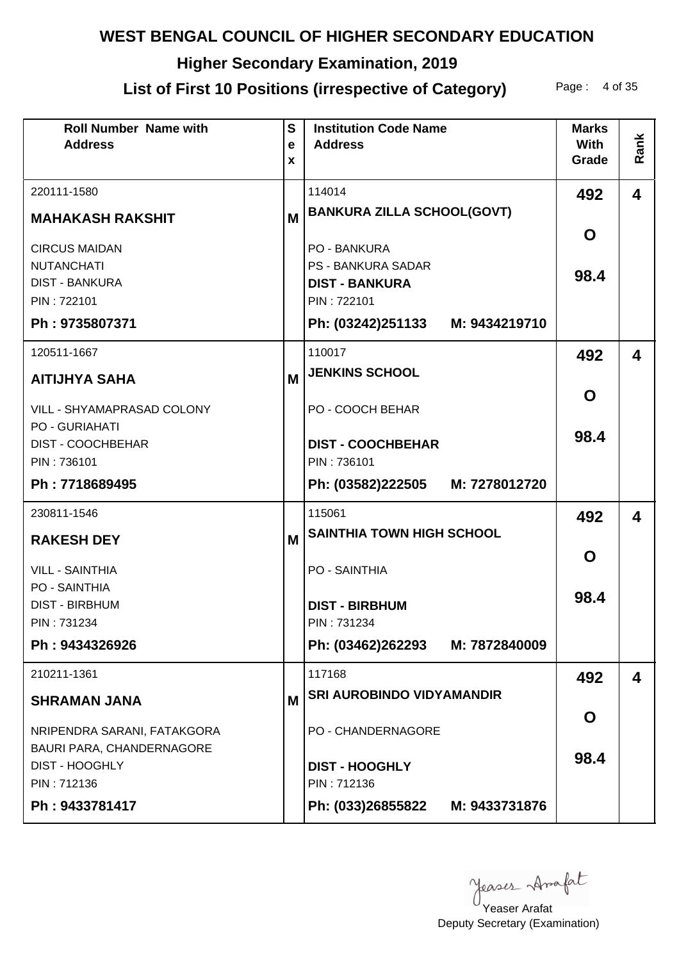# **Higher Secondary Examination, 2019**

## List of First 10 Positions (irrespective of Category) Page: 4 of 35

| <b>Roll Number Name with</b><br><b>Address</b> | $\mathbf{s}$<br>e | <b>Institution Code Name</b><br><b>Address</b> | <b>Marks</b><br><b>With</b> | Rank                    |
|------------------------------------------------|-------------------|------------------------------------------------|-----------------------------|-------------------------|
|                                                | X                 |                                                | Grade                       |                         |
| 220111-1580                                    |                   | 114014                                         | 492                         | $\overline{\mathbf{4}}$ |
| <b>MAHAKASH RAKSHIT</b>                        | M                 | <b>BANKURA ZILLA SCHOOL(GOVT)</b>              |                             |                         |
| <b>CIRCUS MAIDAN</b>                           |                   | <b>PO - BANKURA</b>                            | O                           |                         |
| <b>NUTANCHATI</b>                              |                   | <b>PS - BANKURA SADAR</b>                      | 98.4                        |                         |
| <b>DIST - BANKURA</b><br>PIN: 722101           |                   | <b>DIST - BANKURA</b><br>PIN: 722101           |                             |                         |
| Ph: 9735807371                                 |                   | Ph: (03242)251133 M: 9434219710                |                             |                         |
| 120511-1667                                    |                   | 110017                                         | 492                         | 4                       |
| <b>AITIJHYA SAHA</b>                           | M                 | <b>JENKINS SCHOOL</b>                          |                             |                         |
| VILL - SHYAMAPRASAD COLONY                     |                   | PO - COOCH BEHAR                               | O                           |                         |
| PO - GURIAHATI<br>DIST - COOCHBEHAR            |                   | <b>DIST - COOCHBEHAR</b>                       | 98.4                        |                         |
| PIN: 736101                                    |                   | PIN: 736101                                    |                             |                         |
| Ph: 7718689495                                 |                   | Ph: (03582)222505<br>M: 7278012720             |                             |                         |
| 230811-1546                                    |                   | 115061                                         | 492                         | 4                       |
| <b>RAKESH DEY</b>                              | M                 | <b>SAINTHIA TOWN HIGH SCHOOL</b>               |                             |                         |
| <b>VILL - SAINTHIA</b>                         |                   | PO - SAINTHIA                                  | O                           |                         |
| <b>PO - SAINTHIA</b>                           |                   |                                                | 98.4                        |                         |
| <b>DIST - BIRBHUM</b><br>PIN: 731234           |                   | <b>DIST - BIRBHUM</b><br>PIN: 731234           |                             |                         |
| Ph: 9434326926                                 |                   | Ph: (03462)262293 M: 7872840009                |                             |                         |
| 210211-1361                                    |                   | 117168                                         | 492                         | 4                       |
| <b>SHRAMAN JANA</b>                            | M                 | <b>SRI AUROBINDO VIDYAMANDIR</b>               |                             |                         |
| NRIPENDRA SARANI, FATAKGORA                    |                   | PO - CHANDERNAGORE                             | O                           |                         |
| BAURI PARA, CHANDERNAGORE                      |                   |                                                | 98.4                        |                         |
| DIST - HOOGHLY<br>PIN: 712136                  |                   | <b>DIST - HOOGHLY</b><br>PIN: 712136           |                             |                         |
| Ph: 9433781417                                 |                   | Ph: (033)26855822<br>M: 9433731876             |                             |                         |

yeases Anafat

Deputy Secretary (Examination) Yeaser Arafat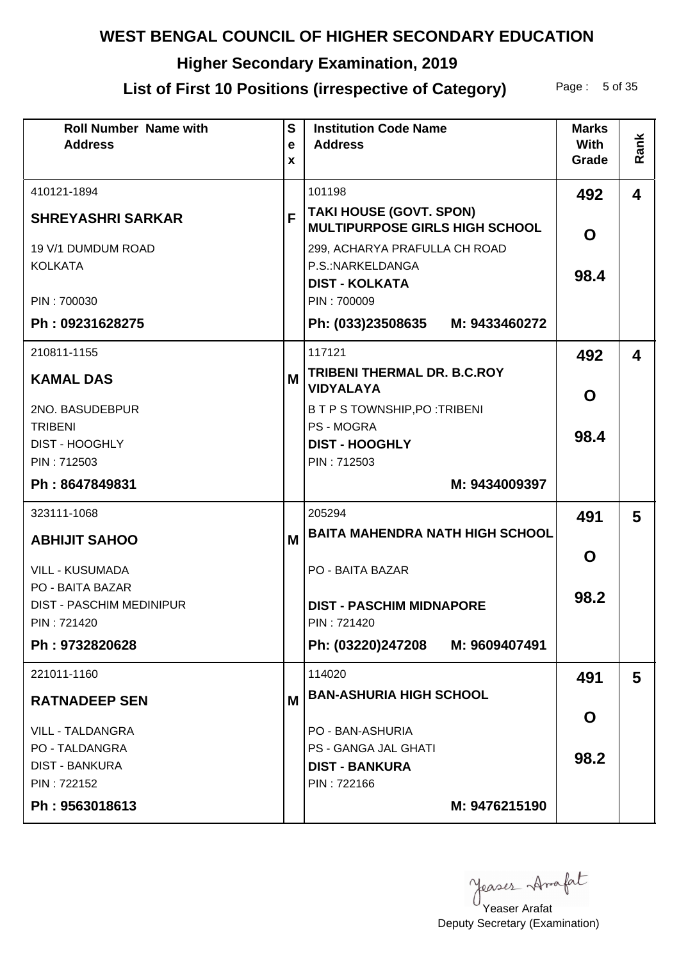# **Higher Secondary Examination, 2019**

# List of First 10 Positions (irrespective of Category) Page: 5 of 35

| <b>Roll Number Name with</b><br><b>Address</b> | $\mathbf{s}$<br>e | <b>Institution Code Name</b><br><b>Address</b>                          | <b>Marks</b><br>With | Rank                    |
|------------------------------------------------|-------------------|-------------------------------------------------------------------------|----------------------|-------------------------|
|                                                | X                 |                                                                         | Grade                |                         |
| 410121-1894                                    |                   | 101198                                                                  | 492                  | $\overline{\mathbf{4}}$ |
| <b>SHREYASHRI SARKAR</b>                       | F                 | <b>TAKI HOUSE (GOVT. SPON)</b><br><b>MULTIPURPOSE GIRLS HIGH SCHOOL</b> |                      |                         |
| 19 V/1 DUMDUM ROAD                             |                   | 299, ACHARYA PRAFULLA CH ROAD                                           | O                    |                         |
| <b>KOLKATA</b>                                 |                   | P.S.:NARKELDANGA<br><b>DIST - KOLKATA</b>                               | 98.4                 |                         |
| PIN: 700030                                    |                   | PIN: 700009                                                             |                      |                         |
| Ph: 09231628275                                |                   | Ph: (033)23508635 M: 9433460272                                         |                      |                         |
| 210811-1155                                    |                   | 117121                                                                  | 492                  | 4                       |
| <b>KAMAL DAS</b>                               | M                 | <b>TRIBENI THERMAL DR. B.C.ROY</b><br><b>VIDYALAYA</b>                  | O                    |                         |
| 2NO. BASUDEBPUR                                |                   | B T P S TOWNSHIP, PO : TRIBENI                                          |                      |                         |
| <b>TRIBENI</b><br><b>DIST - HOOGHLY</b>        |                   | <b>PS - MOGRA</b><br><b>DIST - HOOGHLY</b>                              | 98.4                 |                         |
| PIN: 712503                                    |                   | PIN: 712503                                                             |                      |                         |
| Ph: 8647849831                                 |                   | M: 9434009397                                                           |                      |                         |
| 323111-1068                                    |                   | 205294                                                                  | 491                  | 5                       |
| <b>ABHIJIT SAHOO</b>                           | M                 | <b>BAITA MAHENDRA NATH HIGH SCHOOL</b>                                  |                      |                         |
| <b>VILL - KUSUMADA</b>                         |                   | PO - BAITA BAZAR                                                        | O                    |                         |
| PO - BAITA BAZAR                               |                   |                                                                         | 98.2                 |                         |
| <b>DIST - PASCHIM MEDINIPUR</b><br>PIN: 721420 |                   | <b>DIST - PASCHIM MIDNAPORE</b><br>PIN: 721420                          |                      |                         |
| Ph: 9732820628                                 |                   | Ph: (03220)247208 M: 9609407491                                         |                      |                         |
| 221011-1160                                    |                   | 114020                                                                  | 491                  | 5                       |
| <b>RATNADEEP SEN</b>                           | М                 | <b>BAN-ASHURIA HIGH SCHOOL</b>                                          |                      |                         |
| <b>VILL - TALDANGRA</b>                        |                   | PO - BAN-ASHURIA                                                        | O                    |                         |
| <b>PO - TALDANGRA</b>                          |                   | PS - GANGA JAL GHATI                                                    |                      |                         |
| <b>DIST - BANKURA</b>                          |                   | <b>DIST - BANKURA</b>                                                   | 98.2                 |                         |
| PIN: 722152                                    |                   | PIN: 722166                                                             |                      |                         |
| Ph: 9563018613                                 |                   | M: 9476215190                                                           |                      |                         |

Yeaser Arafat

Deputy Secretary (Examination)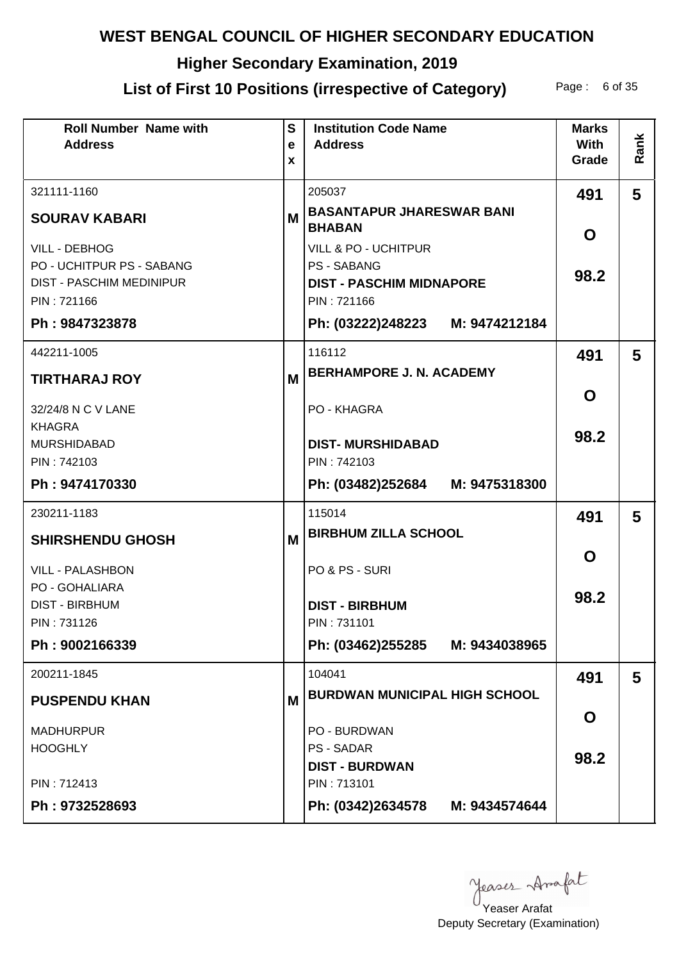# **Higher Secondary Examination, 2019**

## List of First 10 Positions (irrespective of Category) Page: 6 of 35

| <b>Roll Number Name with</b><br><b>Address</b>    | $\mathbf{s}$<br>$\mathbf e$<br>X | <b>Institution Code Name</b><br><b>Address</b>        | <b>Marks</b><br><b>With</b><br>Grade | Rank |
|---------------------------------------------------|----------------------------------|-------------------------------------------------------|--------------------------------------|------|
| 321111-1160                                       |                                  | 205037                                                | 491                                  | 5    |
| <b>SOURAV KABARI</b>                              | М                                | <b>BASANTAPUR JHARESWAR BANI</b><br><b>BHABAN</b>     | O                                    |      |
| <b>VILL - DEBHOG</b><br>PO - UCHITPUR PS - SABANG |                                  | <b>VILL &amp; PO - UCHITPUR</b><br><b>PS - SABANG</b> | 98.2                                 |      |
| <b>DIST - PASCHIM MEDINIPUR</b><br>PIN: 721166    |                                  | <b>DIST - PASCHIM MIDNAPORE</b><br>PIN: 721166        |                                      |      |
| Ph: 9847323878                                    |                                  | Ph: (03222)248223 M: 9474212184                       |                                      |      |
| 442211-1005                                       |                                  | 116112                                                | 491                                  | 5    |
| <b>TIRTHARAJ ROY</b>                              | M                                | <b>BERHAMPORE J. N. ACADEMY</b>                       |                                      |      |
| 32/24/8 N C V LANE                                |                                  | PO - KHAGRA                                           | O                                    |      |
| <b>KHAGRA</b><br><b>MURSHIDABAD</b>               |                                  | <b>DIST-MURSHIDABAD</b>                               | 98.2                                 |      |
| PIN: 742103                                       |                                  | PIN: 742103                                           |                                      |      |
| Ph: 9474170330                                    |                                  | Ph: (03482)252684 M: 9475318300                       |                                      |      |
| 230211-1183                                       |                                  | 115014                                                | 491                                  | 5    |
| <b>SHIRSHENDU GHOSH</b>                           | M                                | <b>BIRBHUM ZILLA SCHOOL</b>                           |                                      |      |
| <b>VILL - PALASHBON</b>                           |                                  | PO & PS - SURI                                        | O                                    |      |
| <b>PO - GOHALIARA</b><br><b>DIST - BIRBHUM</b>    |                                  | <b>DIST - BIRBHUM</b>                                 | 98.2                                 |      |
| PIN: 731126                                       |                                  | PIN: 731101                                           |                                      |      |
| Ph: 9002166339                                    |                                  | Ph: (03462)255285 M: 9434038965                       |                                      |      |
| 200211-1845                                       |                                  | 104041                                                | 491                                  | 5    |
| <b>PUSPENDU KHAN</b>                              | M                                | <b>BURDWAN MUNICIPAL HIGH SCHOOL</b>                  |                                      |      |
| <b>MADHURPUR</b>                                  |                                  | PO - BURDWAN                                          | O                                    |      |
| <b>HOOGHLY</b>                                    |                                  | <b>PS - SADAR</b><br><b>DIST - BURDWAN</b>            | 98.2                                 |      |
| PIN: 712413                                       |                                  | PIN: 713101                                           |                                      |      |
| Ph: 9732528693                                    |                                  | Ph: (0342)2634578 M: 9434574644                       |                                      |      |

yeases Anafat

Deputy Secretary (Examination) Yeaser Arafat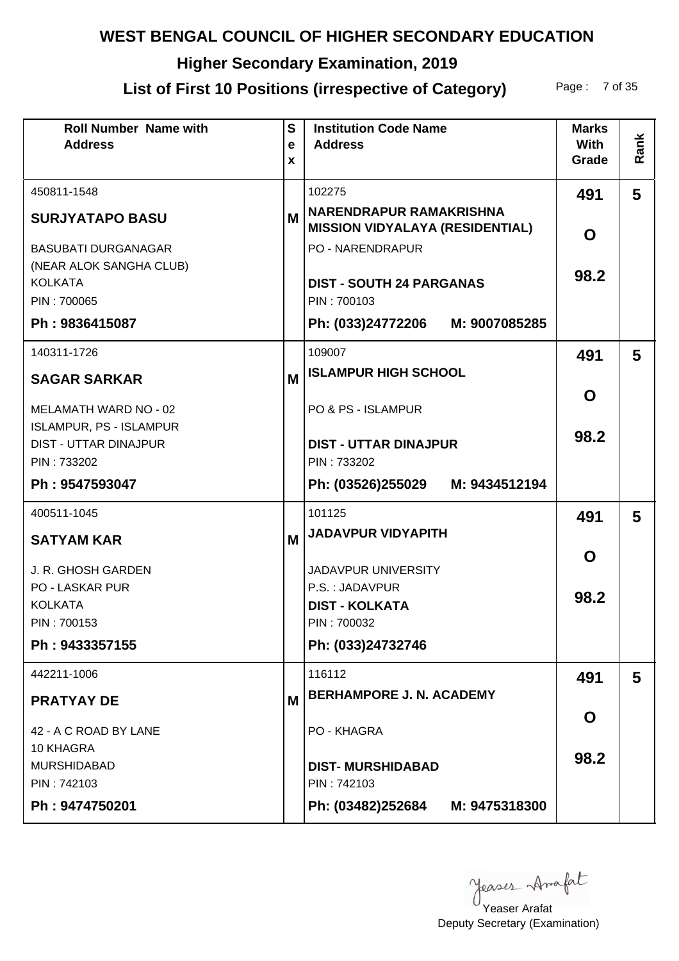# **Higher Secondary Examination, 2019**

## List of First 10 Positions (irrespective of Category) Page: 7 of 35

| <b>Roll Number Name with</b><br><b>Address</b>                 | S<br>e<br>X | <b>Institution Code Name</b><br><b>Address</b>                    | <b>Marks</b><br><b>With</b><br>Grade | Rank |
|----------------------------------------------------------------|-------------|-------------------------------------------------------------------|--------------------------------------|------|
| 450811-1548                                                    |             | 102275                                                            | 491                                  | 5    |
| <b>SURJYATAPO BASU</b>                                         | М           | NARENDRAPUR RAMAKRISHNA<br><b>MISSION VIDYALAYA (RESIDENTIAL)</b> | O                                    |      |
| <b>BASUBATI DURGANAGAR</b>                                     |             | <b>PO - NARENDRAPUR</b>                                           |                                      |      |
| (NEAR ALOK SANGHA CLUB)<br><b>KOLKATA</b>                      |             | <b>DIST - SOUTH 24 PARGANAS</b>                                   | 98.2                                 |      |
| PIN: 700065                                                    |             | PIN: 700103                                                       |                                      |      |
| Ph: 9836415087                                                 |             | Ph: (033)24772206<br>M: 9007085285                                |                                      |      |
| 140311-1726                                                    |             | 109007                                                            | 491                                  | 5    |
| <b>SAGAR SARKAR</b>                                            | M           | <b>ISLAMPUR HIGH SCHOOL</b>                                       |                                      |      |
| <b>MELAMATH WARD NO - 02</b>                                   |             | PO & PS - ISLAMPUR                                                | O                                    |      |
| <b>ISLAMPUR, PS - ISLAMPUR</b><br><b>DIST - UTTAR DINAJPUR</b> |             | <b>DIST - UTTAR DINAJPUR</b>                                      | 98.2                                 |      |
| PIN: 733202                                                    |             | PIN: 733202                                                       |                                      |      |
| Ph: 9547593047                                                 |             | Ph: (03526)255029 M: 9434512194                                   |                                      |      |
| 400511-1045                                                    |             | 101125                                                            | 491                                  | 5    |
| <b>SATYAM KAR</b>                                              | M           | <b>JADAVPUR VIDYAPITH</b>                                         |                                      |      |
| J. R. GHOSH GARDEN                                             |             | <b>JADAVPUR UNIVERSITY</b>                                        | O                                    |      |
| <b>PO - LASKAR PUR</b>                                         |             | P.S.: JADAVPUR                                                    | 98.2                                 |      |
| <b>KOLKATA</b><br>PIN: 700153                                  |             | <b>DIST - KOLKATA</b><br>PIN: 700032                              |                                      |      |
| Ph: 9433357155                                                 |             | Ph: (033)24732746                                                 |                                      |      |
|                                                                |             |                                                                   |                                      |      |
| 442211-1006                                                    |             | 116112<br><b>BERHAMPORE J. N. ACADEMY</b>                         | 491                                  | 5    |
| <b>PRATYAY DE</b>                                              | M           |                                                                   | O                                    |      |
| 42 - A C ROAD BY LANE                                          |             | PO - KHAGRA                                                       |                                      |      |
| 10 KHAGRA<br><b>MURSHIDABAD</b>                                |             | <b>DIST-MURSHIDABAD</b>                                           | 98.2                                 |      |
| PIN: 742103                                                    |             | PIN: 742103                                                       |                                      |      |
| Ph: 9474750201                                                 |             | Ph: (03482)252684 M: 9475318300                                   |                                      |      |

yeases Anafat

Deputy Secretary (Examination) Yeaser Arafat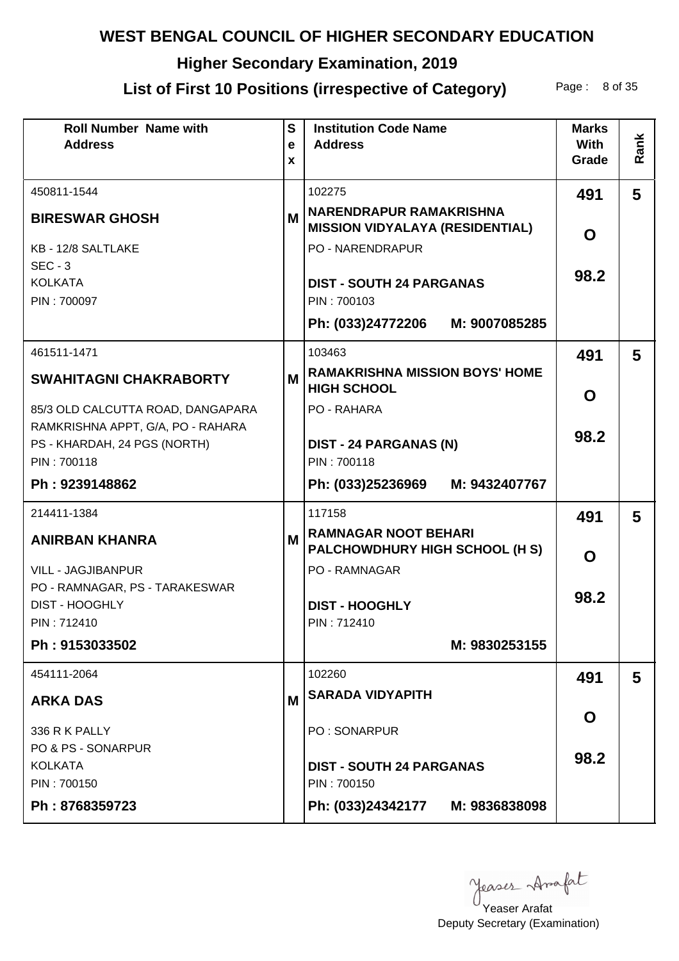# **Higher Secondary Examination, 2019**

# List of First 10 Positions (irrespective of Category) Page: 8 of 35

| <b>Roll Number Name with</b><br><b>Address</b> | $\mathbf{s}$<br>e<br>X | <b>Institution Code Name</b><br><b>Address</b>                           | <b>Marks</b><br><b>With</b><br>Grade | Rank |
|------------------------------------------------|------------------------|--------------------------------------------------------------------------|--------------------------------------|------|
| 450811-1544                                    |                        | 102275                                                                   | 491                                  | 5    |
| <b>BIRESWAR GHOSH</b>                          | M                      | <b>NARENDRAPUR RAMAKRISHNA</b><br><b>MISSION VIDYALAYA (RESIDENTIAL)</b> | O                                    |      |
| KB - 12/8 SALTLAKE                             |                        | <b>PO - NARENDRAPUR</b>                                                  |                                      |      |
| $SEC - 3$                                      |                        |                                                                          | 98.2                                 |      |
| <b>KOLKATA</b>                                 |                        | <b>DIST - SOUTH 24 PARGANAS</b>                                          |                                      |      |
| PIN: 700097                                    |                        | PIN: 700103                                                              |                                      |      |
|                                                |                        | Ph: (033)24772206 M: 9007085285                                          |                                      |      |
| 461511-1471                                    |                        | 103463                                                                   | 491                                  | 5    |
| <b>SWAHITAGNI CHAKRABORTY</b>                  | M                      | <b>RAMAKRISHNA MISSION BOYS' HOME</b><br><b>HIGH SCHOOL</b>              | O                                    |      |
| 85/3 OLD CALCUTTA ROAD, DANGAPARA              |                        | PO - RAHARA                                                              |                                      |      |
| RAMKRISHNA APPT, G/A, PO - RAHARA              |                        |                                                                          | 98.2                                 |      |
| PS - KHARDAH, 24 PGS (NORTH)                   |                        | <b>DIST - 24 PARGANAS (N)</b>                                            |                                      |      |
| PIN: 700118                                    |                        | PIN: 700118                                                              |                                      |      |
| Ph: 9239148862                                 |                        | Ph: (033)25236969<br>M: 9432407767                                       |                                      |      |
| 214411-1384                                    |                        | 117158                                                                   | 491                                  | 5    |
| <b>ANIRBAN KHANRA</b>                          | М                      | <b>RAMNAGAR NOOT BEHARI</b><br>PALCHOWDHURY HIGH SCHOOL (H S)            | O                                    |      |
| <b>VILL - JAGJIBANPUR</b>                      |                        | PO - RAMNAGAR                                                            |                                      |      |
| PO - RAMNAGAR, PS - TARAKESWAR                 |                        |                                                                          | 98.2                                 |      |
| <b>DIST - HOOGHLY</b>                          |                        | <b>DIST - HOOGHLY</b>                                                    |                                      |      |
| PIN: 712410                                    |                        | PIN: 712410                                                              |                                      |      |
| Ph: 9153033502                                 |                        | M: 9830253155                                                            |                                      |      |
| 454111-2064                                    |                        | 102260                                                                   | 491                                  | 5    |
| <b>ARKA DAS</b>                                | M                      | <b>SARADA VIDYAPITH</b>                                                  |                                      |      |
|                                                |                        |                                                                          | O                                    |      |
| 336 R K PALLY                                  |                        | PO: SONARPUR                                                             |                                      |      |
| PO & PS - SONARPUR<br><b>KOLKATA</b>           |                        | <b>DIST - SOUTH 24 PARGANAS</b>                                          | 98.2                                 |      |
| PIN: 700150                                    |                        | PIN: 700150                                                              |                                      |      |
| Ph: 8768359723                                 |                        | Ph: (033)24342177 M: 9836838098                                          |                                      |      |
|                                                |                        |                                                                          |                                      |      |

Yeaser Arafat

Deputy Secretary (Examination)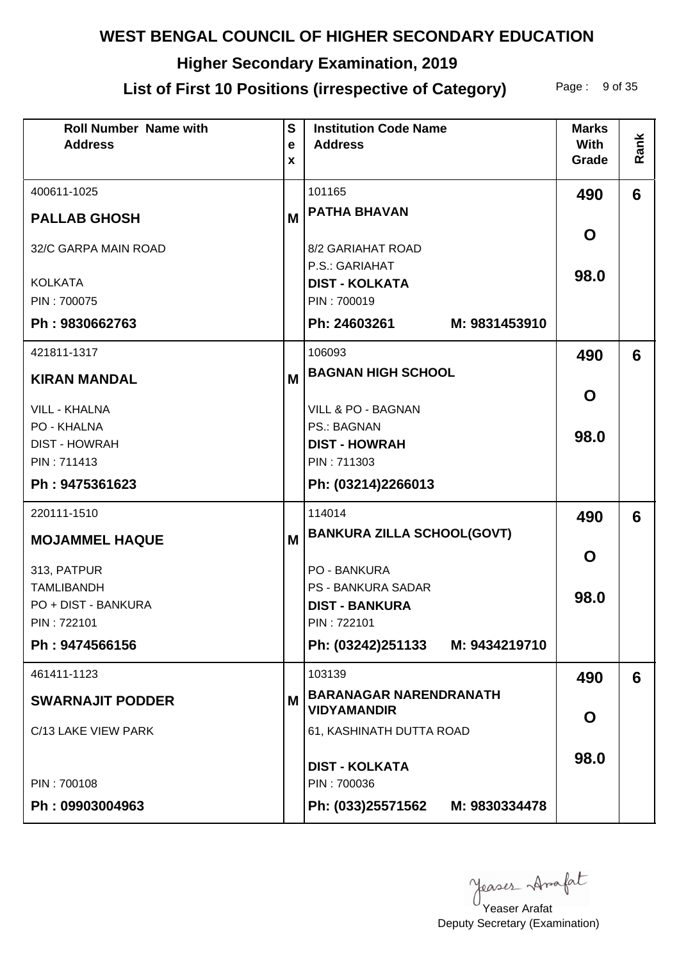# **Higher Secondary Examination, 2019**

# List of First 10 Positions (irrespective of Category) Page: 9 of 35

| <b>Roll Number Name with</b><br><b>Address</b> | $\mathbf{s}$<br>e<br>X | <b>Institution Code Name</b><br><b>Address</b>      | <b>Marks</b><br><b>With</b><br>Grade | Rank |
|------------------------------------------------|------------------------|-----------------------------------------------------|--------------------------------------|------|
| 400611-1025                                    |                        | 101165                                              | 490                                  | 6    |
| <b>PALLAB GHOSH</b>                            | M                      | <b>PATHA BHAVAN</b>                                 |                                      |      |
| 32/C GARPA MAIN ROAD                           |                        | 8/2 GARIAHAT ROAD                                   | O                                    |      |
| <b>KOLKATA</b>                                 |                        | P.S.: GARIAHAT<br><b>DIST - KOLKATA</b>             | 98.0                                 |      |
| PIN: 700075                                    |                        | PIN: 700019                                         |                                      |      |
| Ph: 9830662763                                 |                        | Ph: 24603261<br>M: 9831453910                       |                                      |      |
| 421811-1317                                    |                        | 106093                                              | 490                                  | 6    |
| <b>KIRAN MANDAL</b>                            | M                      | <b>BAGNAN HIGH SCHOOL</b>                           |                                      |      |
| <b>VILL - KHALNA</b>                           |                        | VILL & PO - BAGNAN                                  | O                                    |      |
| PO - KHALNA                                    |                        | <b>PS.: BAGNAN</b>                                  | 98.0                                 |      |
| <b>DIST - HOWRAH</b>                           |                        | <b>DIST - HOWRAH</b>                                |                                      |      |
| PIN: 711413<br>Ph: 9475361623                  |                        | PIN: 711303                                         |                                      |      |
|                                                |                        | Ph: (03214)2266013                                  |                                      |      |
| 220111-1510                                    |                        | 114014                                              | 490                                  | 6    |
| <b>MOJAMMEL HAQUE</b>                          | M                      | <b>BANKURA ZILLA SCHOOL(GOVT)</b>                   |                                      |      |
| 313, PATPUR                                    |                        | PO - BANKURA                                        | O                                    |      |
| <b>TAMLIBANDH</b>                              |                        | <b>PS - BANKURA SADAR</b>                           | 98.0                                 |      |
| PO + DIST - BANKURA                            |                        | <b>DIST - BANKURA</b>                               |                                      |      |
| PIN: 722101                                    |                        | PIN: 722101                                         |                                      |      |
| Ph: 9474566156                                 |                        | Ph: (03242)251133 M: 9434219710                     |                                      |      |
| 461411-1123                                    |                        | 103139                                              | 490                                  | 6    |
| <b>SWARNAJIT PODDER</b>                        | M                      | <b>BARANAGAR NARENDRANATH</b><br><b>VIDYAMANDIR</b> |                                      |      |
| C/13 LAKE VIEW PARK                            |                        | 61, KASHINATH DUTTA ROAD                            | O                                    |      |
|                                                |                        | <b>DIST - KOLKATA</b>                               | 98.0                                 |      |
| PIN: 700108                                    |                        | PIN: 700036                                         |                                      |      |
| Ph: 09903004963                                |                        | Ph: (033)25571562<br>M: 9830334478                  |                                      |      |

Yeaser Arafat

Deputy Secretary (Examination)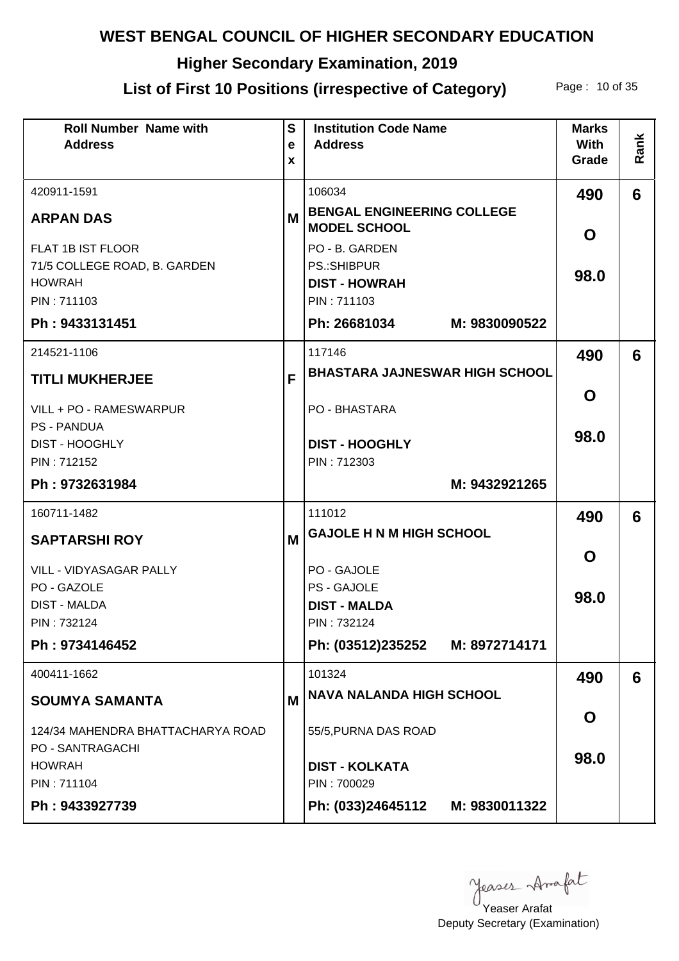# **Higher Secondary Examination, 2019**

# List of First 10 Positions (irrespective of Category) Page: 10 of 35

| <b>Roll Number Name with</b><br><b>Address</b> | $\mathbf{s}$<br>e<br>X | <b>Institution Code Name</b><br><b>Address</b>           | <b>Marks</b><br><b>With</b><br>Grade | Rank |
|------------------------------------------------|------------------------|----------------------------------------------------------|--------------------------------------|------|
| 420911-1591                                    |                        | 106034                                                   | 490                                  | 6    |
| <b>ARPAN DAS</b>                               | M                      | <b>BENGAL ENGINEERING COLLEGE</b><br><b>MODEL SCHOOL</b> | O                                    |      |
| FLAT 1B IST FLOOR                              |                        | PO - B. GARDEN                                           |                                      |      |
| 71/5 COLLEGE ROAD, B. GARDEN<br><b>HOWRAH</b>  |                        | <b>PS.:SHIBPUR</b><br><b>DIST - HOWRAH</b>               | 98.0                                 |      |
| PIN: 711103                                    |                        | PIN: 711103                                              |                                      |      |
| Ph: 9433131451                                 |                        | Ph: 26681034<br>M: 9830090522                            |                                      |      |
| 214521-1106                                    |                        | 117146                                                   | 490                                  | 6    |
| <b>TITLI MUKHERJEE</b>                         | F                      | <b>BHASTARA JAJNESWAR HIGH SCHOOL</b>                    |                                      |      |
| VILL + PO - RAMESWARPUR                        |                        | PO - BHASTARA                                            | O                                    |      |
| <b>PS - PANDUA</b><br><b>DIST - HOOGHLY</b>    |                        | <b>DIST - HOOGHLY</b>                                    | 98.0                                 |      |
| PIN: 712152                                    |                        | PIN: 712303                                              |                                      |      |
| Ph: 9732631984                                 |                        | M: 9432921265                                            |                                      |      |
| 160711-1482                                    |                        | 111012                                                   | 490                                  | 6    |
| <b>SAPTARSHI ROY</b>                           | M                      | <b>GAJOLE H N M HIGH SCHOOL</b>                          |                                      |      |
| <b>VILL - VIDYASAGAR PALLY</b>                 |                        | PO - GAJOLE                                              | O                                    |      |
| PO - GAZOLE                                    |                        | PS - GAJOLE                                              | 98.0                                 |      |
| <b>DIST - MALDA</b>                            |                        | <b>DIST - MALDA</b>                                      |                                      |      |
| PIN: 732124                                    |                        | PIN: 732124                                              |                                      |      |
| Ph: 9734146452                                 |                        | Ph: (03512)235252 M: 8972714171                          |                                      |      |
| 400411-1662                                    |                        | 101324                                                   | 490                                  | 6    |
| <b>SOUMYA SAMANTA</b>                          | M                      | <b>NAVA NALANDA HIGH SCHOOL</b>                          |                                      |      |
| 124/34 MAHENDRA BHATTACHARYA ROAD              |                        | 55/5, PURNA DAS ROAD                                     | O                                    |      |
| <b>PO - SANTRAGACHI</b><br><b>HOWRAH</b>       |                        | <b>DIST - KOLKATA</b>                                    | 98.0                                 |      |
| PIN: 711104                                    |                        | PIN: 700029                                              |                                      |      |
| Ph: 9433927739                                 |                        | Ph: (033)24645112 M: 9830011322                          |                                      |      |

Yeaser Arafat

Deputy Secretary (Examination)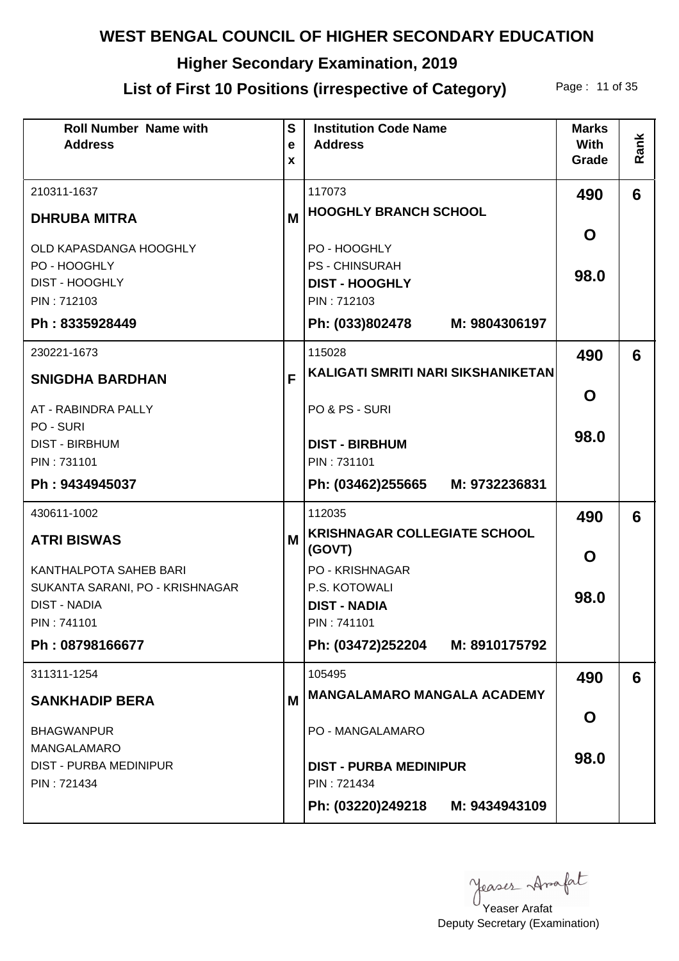# **Higher Secondary Examination, 2019**

# List of First 10 Positions (irrespective of Category) Page: 11 of 35

| <b>Roll Number Name with</b><br><b>Address</b>                                                   | $\mathbf{s}$<br>e<br>X | <b>Institution Code Name</b><br><b>Address</b>                                                                 | <b>Marks</b><br><b>With</b><br>Grade | Rank |
|--------------------------------------------------------------------------------------------------|------------------------|----------------------------------------------------------------------------------------------------------------|--------------------------------------|------|
| 210311-1637                                                                                      |                        | 117073                                                                                                         | 490                                  | 6    |
| <b>DHRUBA MITRA</b>                                                                              | M                      | <b>HOOGHLY BRANCH SCHOOL</b>                                                                                   |                                      |      |
| OLD KAPASDANGA HOOGHLY<br>PO - HOOGHLY<br><b>DIST - HOOGHLY</b><br>PIN: 712103<br>Ph: 8335928449 |                        | PO - HOOGHLY<br><b>PS - CHINSURAH</b><br><b>DIST - HOOGHLY</b><br>PIN: 712103<br>Ph: (033)802478 M: 9804306197 | O<br>98.0                            |      |
|                                                                                                  |                        |                                                                                                                |                                      |      |
| 230221-1673<br><b>SNIGDHA BARDHAN</b>                                                            | F                      | 115028<br>KALIGATI SMRITI NARI SIKSHANIKETAN                                                                   | 490                                  | 6    |
|                                                                                                  |                        |                                                                                                                | O                                    |      |
| AT - RABINDRA PALLY<br>PO - SURI<br><b>DIST - BIRBHUM</b>                                        |                        | PO & PS - SURI<br><b>DIST - BIRBHUM</b>                                                                        | 98.0                                 |      |
| PIN: 731101                                                                                      |                        | PIN: 731101                                                                                                    |                                      |      |
| Ph: 9434945037                                                                                   |                        | Ph: (03462)255665<br>M: 9732236831                                                                             |                                      |      |
| 430611-1002                                                                                      |                        | 112035                                                                                                         | 490                                  | 6    |
| <b>ATRI BISWAS</b>                                                                               | M                      | <b>KRISHNAGAR COLLEGIATE SCHOOL</b><br>(GOVT)                                                                  | O                                    |      |
| KANTHALPOTA SAHEB BARI                                                                           |                        | <b>PO - KRISHNAGAR</b>                                                                                         |                                      |      |
| SUKANTA SARANI, PO - KRISHNAGAR<br><b>DIST - NADIA</b>                                           |                        | P.S. KOTOWALI<br><b>DIST - NADIA</b>                                                                           | 98.0                                 |      |
| PIN: 741101                                                                                      |                        | PIN: 741101                                                                                                    |                                      |      |
| Ph: 08798166677                                                                                  |                        | Ph: (03472)252204 M: 8910175792                                                                                |                                      |      |
| 311311-1254                                                                                      |                        | 105495                                                                                                         | 490                                  | 6    |
| <b>SANKHADIP BERA</b>                                                                            | M                      | <b>MANGALAMARO MANGALA ACADEMY</b>                                                                             |                                      |      |
| <b>BHAGWANPUR</b>                                                                                |                        | PO - MANGALAMARO                                                                                               | O                                    |      |
| <b>MANGALAMARO</b><br><b>DIST - PURBA MEDINIPUR</b><br>PIN: 721434                               |                        | <b>DIST - PURBA MEDINIPUR</b><br>PIN: 721434                                                                   | 98.0                                 |      |
|                                                                                                  |                        | Ph: (03220)249218 M: 9434943109                                                                                |                                      |      |

yeases Anafat

Deputy Secretary (Examination) Yeaser Arafat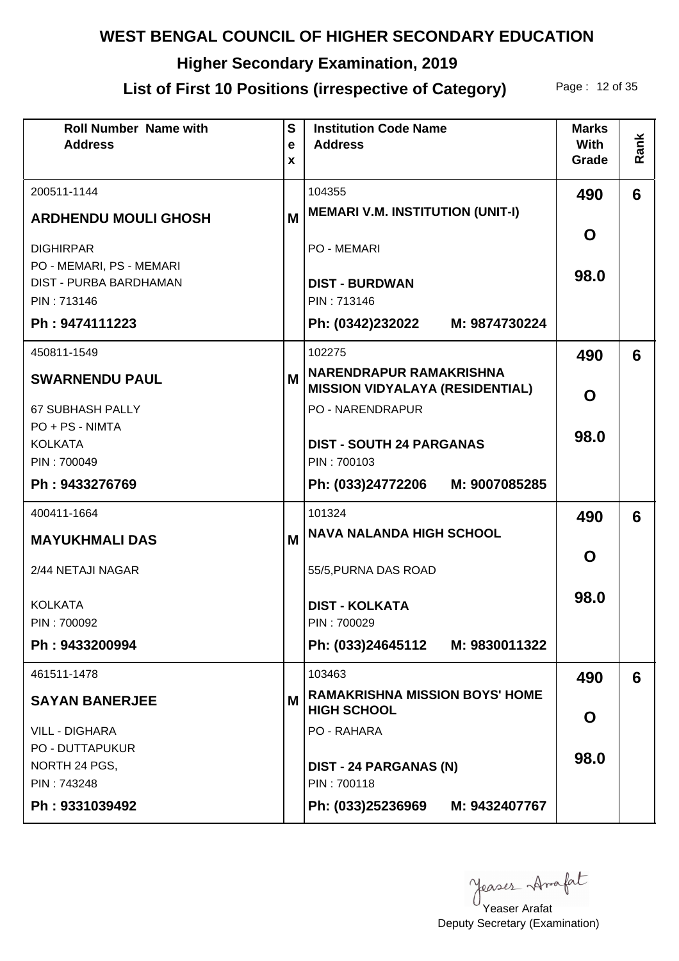# **Higher Secondary Examination, 2019**

# List of First 10 Positions (irrespective of Category) Page: 12 of 35

| <b>Roll Number Name with</b><br><b>Address</b>     | $\mathbf{s}$<br>$\mathbf e$<br>X | <b>Institution Code Name</b><br><b>Address</b>                           | <b>Marks</b><br><b>With</b><br>Grade | Rank |
|----------------------------------------------------|----------------------------------|--------------------------------------------------------------------------|--------------------------------------|------|
| 200511-1144                                        |                                  | 104355                                                                   | 490                                  | 6    |
| <b>ARDHENDU MOULI GHOSH</b>                        | M                                | <b>MEMARI V.M. INSTITUTION (UNIT-I)</b>                                  |                                      |      |
| <b>DIGHIRPAR</b>                                   |                                  | <b>PO - MEMARI</b>                                                       | O                                    |      |
| PO - MEMARI, PS - MEMARI<br>DIST - PURBA BARDHAMAN |                                  | <b>DIST - BURDWAN</b>                                                    | 98.0                                 |      |
| PIN: 713146                                        |                                  | PIN: 713146                                                              |                                      |      |
| Ph: 9474111223                                     |                                  | Ph: (0342)232022 M: 9874730224                                           |                                      |      |
| 450811-1549                                        |                                  | 102275                                                                   | 490                                  | 6    |
| <b>SWARNENDU PAUL</b>                              | M                                | <b>NARENDRAPUR RAMAKRISHNA</b><br><b>MISSION VIDYALAYA (RESIDENTIAL)</b> | O                                    |      |
| <b>67 SUBHASH PALLY</b>                            |                                  | <b>PO - NARENDRAPUR</b>                                                  |                                      |      |
| PO + PS - NIMTA<br><b>KOLKATA</b>                  |                                  | <b>DIST - SOUTH 24 PARGANAS</b>                                          | 98.0                                 |      |
| PIN: 700049                                        |                                  | PIN: 700103                                                              |                                      |      |
| Ph: 9433276769                                     |                                  | Ph: (033)24772206<br>M: 9007085285                                       |                                      |      |
| 400411-1664                                        |                                  | 101324                                                                   | 490                                  | 6    |
| <b>MAYUKHMALI DAS</b>                              | M                                | <b>NAVA NALANDA HIGH SCHOOL</b>                                          |                                      |      |
| 2/44 NETAJI NAGAR                                  |                                  | 55/5, PURNA DAS ROAD                                                     | O                                    |      |
| <b>KOLKATA</b>                                     |                                  | <b>DIST - KOLKATA</b>                                                    | 98.0                                 |      |
| PIN: 700092                                        |                                  | PIN: 700029                                                              |                                      |      |
| Ph: 9433200994                                     |                                  | Ph: (033)24645112 M: 9830011322                                          |                                      |      |
| 461511-1478                                        |                                  | 103463                                                                   | 490                                  | 6    |
| <b>SAYAN BANERJEE</b>                              | M                                | <b>RAMAKRISHNA MISSION BOYS' HOME</b><br><b>HIGH SCHOOL</b>              | O                                    |      |
| <b>VILL - DIGHARA</b>                              |                                  | PO - RAHARA                                                              |                                      |      |
| <b>PO - DUTTAPUKUR</b><br>NORTH 24 PGS,            |                                  | <b>DIST - 24 PARGANAS (N)</b>                                            | 98.0                                 |      |
| PIN: 743248                                        |                                  | PIN: 700118                                                              |                                      |      |
| Ph: 9331039492                                     |                                  | Ph: (033)25236969 M: 9432407767                                          |                                      |      |

Yeaser Arafat

Deputy Secretary (Examination)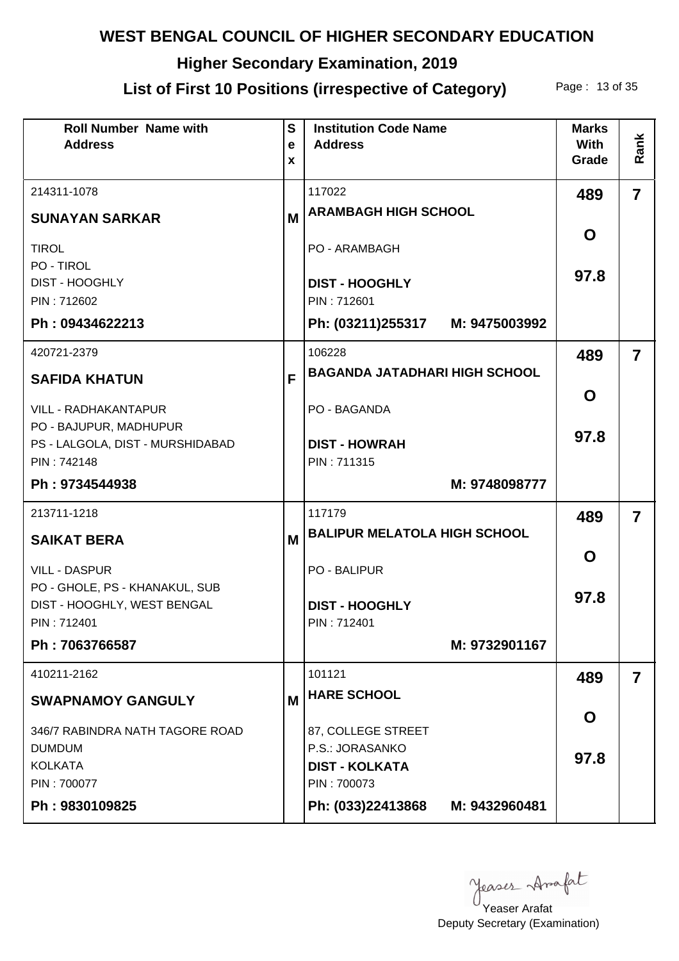# **Higher Secondary Examination, 2019**

# List of First 10 Positions (irrespective of Category) Page: 13 of 35

| <b>Roll Number Name with</b><br><b>Address</b>   | S<br>e<br>X | <b>Institution Code Name</b><br><b>Address</b> | <b>Marks</b><br><b>With</b><br>Grade | Rank                    |
|--------------------------------------------------|-------------|------------------------------------------------|--------------------------------------|-------------------------|
| 214311-1078                                      |             | 117022                                         | 489                                  | $\overline{7}$          |
| <b>SUNAYAN SARKAR</b>                            | M           | <b>ARAMBAGH HIGH SCHOOL</b>                    |                                      |                         |
| <b>TIROL</b>                                     |             | PO - ARAMBAGH                                  | O                                    |                         |
| PO - TIROL<br><b>DIST - HOOGHLY</b>              |             | <b>DIST - HOOGHLY</b>                          | 97.8                                 |                         |
| PIN: 712602                                      |             | PIN: 712601                                    |                                      |                         |
| Ph: 09434622213                                  |             | Ph: (03211)255317 M: 9475003992                |                                      |                         |
| 420721-2379                                      |             | 106228                                         | 489                                  | $\overline{\mathbf{z}}$ |
| <b>SAFIDA KHATUN</b>                             | F           | <b>BAGANDA JATADHARI HIGH SCHOOL</b>           |                                      |                         |
| <b>VILL - RADHAKANTAPUR</b>                      |             | <b>PO - BAGANDA</b>                            | O                                    |                         |
| PO - BAJUPUR, MADHUPUR                           |             |                                                | 97.8                                 |                         |
| PS - LALGOLA, DIST - MURSHIDABAD<br>PIN: 742148  |             | <b>DIST - HOWRAH</b><br>PIN: 711315            |                                      |                         |
| Ph: 9734544938                                   |             | M: 9748098777                                  |                                      |                         |
| 213711-1218                                      |             | 117179                                         | 489                                  | $\overline{\mathbf{z}}$ |
| <b>SAIKAT BERA</b>                               | M           | <b>BALIPUR MELATOLA HIGH SCHOOL</b>            |                                      |                         |
| <b>VILL - DASPUR</b>                             |             | <b>PO - BALIPUR</b>                            | O                                    |                         |
| PO - GHOLE, PS - KHANAKUL, SUB                   |             |                                                | 97.8                                 |                         |
| DIST - HOOGHLY, WEST BENGAL<br>PIN: 712401       |             | <b>DIST - HOOGHLY</b><br>PIN: 712401           |                                      |                         |
| Ph: 7063766587                                   |             | M: 9732901167                                  |                                      |                         |
| 410211-2162                                      |             | 101121                                         | 489                                  | $\overline{\mathbf{7}}$ |
| <b>SWAPNAMOY GANGULY</b>                         | M           | <b>HARE SCHOOL</b>                             |                                      |                         |
|                                                  |             |                                                | O                                    |                         |
| 346/7 RABINDRA NATH TAGORE ROAD<br><b>DUMDUM</b> |             | 87, COLLEGE STREET<br>P.S.: JORASANKO          |                                      |                         |
| <b>KOLKATA</b>                                   |             | <b>DIST - KOLKATA</b>                          | 97.8                                 |                         |
| PIN: 700077                                      |             | PIN: 700073                                    |                                      |                         |
| Ph: 9830109825                                   |             | Ph: (033)22413868<br>M: 9432960481             |                                      |                         |

yeases Anafat

Deputy Secretary (Examination) Yeaser Arafat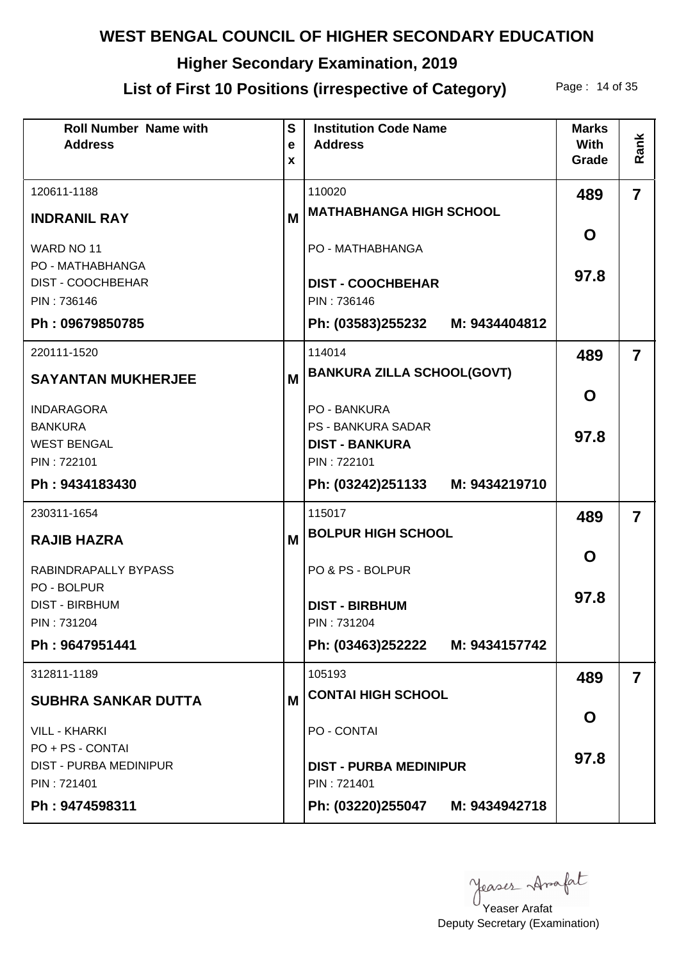# **Higher Secondary Examination, 2019**

## List of First 10 Positions (irrespective of Category) Page: 14 of 35

| <b>Roll Number Name with</b><br><b>Address</b> | $\mathbf{s}$<br>e<br>X | <b>Institution Code Name</b><br><b>Address</b> | <b>Marks</b><br><b>With</b><br>Grade | Rank                    |
|------------------------------------------------|------------------------|------------------------------------------------|--------------------------------------|-------------------------|
| 120611-1188                                    |                        | 110020                                         | 489                                  | $\overline{7}$          |
| <b>INDRANIL RAY</b>                            | M                      | <b>MATHABHANGA HIGH SCHOOL</b>                 |                                      |                         |
| WARD NO 11<br>PO - MATHABHANGA                 |                        | PO - MATHABHANGA                               | O                                    |                         |
| <b>DIST - COOCHBEHAR</b><br>PIN: 736146        |                        | <b>DIST - COOCHBEHAR</b><br>PIN: 736146        | 97.8                                 |                         |
| Ph: 09679850785                                |                        | Ph: (03583)255232 M: 9434404812                |                                      |                         |
| 220111-1520                                    |                        | 114014                                         | 489                                  | $\overline{\mathbf{z}}$ |
| <b>SAYANTAN MUKHERJEE</b>                      | M                      | <b>BANKURA ZILLA SCHOOL(GOVT)</b>              |                                      |                         |
| <b>INDARAGORA</b>                              |                        | <b>PO - BANKURA</b>                            | O                                    |                         |
| <b>BANKURA</b>                                 |                        | <b>PS - BANKURA SADAR</b>                      | 97.8                                 |                         |
| <b>WEST BENGAL</b><br>PIN: 722101              |                        | <b>DIST - BANKURA</b><br>PIN: 722101           |                                      |                         |
| Ph: 9434183430                                 |                        | Ph: (03242)251133 M: 9434219710                |                                      |                         |
| 230311-1654                                    |                        | 115017                                         | 489                                  | $\overline{\mathbf{z}}$ |
| <b>RAJIB HAZRA</b>                             | M                      | <b>BOLPUR HIGH SCHOOL</b>                      |                                      |                         |
| RABINDRAPALLY BYPASS                           |                        | PO & PS - BOLPUR                               | O                                    |                         |
| PO - BOLPUR<br><b>DIST - BIRBHUM</b>           |                        | <b>DIST - BIRBHUM</b>                          | 97.8                                 |                         |
| PIN: 731204                                    |                        | PIN: 731204                                    |                                      |                         |
| Ph: 9647951441                                 |                        | Ph: (03463)252222 M: 9434157742                |                                      |                         |
| 312811-1189                                    |                        | 105193                                         | 489                                  | $\overline{\mathbf{7}}$ |
| <b>SUBHRA SANKAR DUTTA</b>                     | M                      | <b>CONTAI HIGH SCHOOL</b>                      |                                      |                         |
| <b>VILL - KHARKI</b>                           |                        | PO - CONTAI                                    | O                                    |                         |
| PO + PS - CONTAI                               |                        |                                                | 97.8                                 |                         |
| <b>DIST - PURBA MEDINIPUR</b><br>PIN: 721401   |                        | <b>DIST - PURBA MEDINIPUR</b><br>PIN: 721401   |                                      |                         |
| Ph: 9474598311                                 |                        | Ph: (03220)255047 M: 9434942718                |                                      |                         |

yeases Anafat

Deputy Secretary (Examination) Yeaser Arafat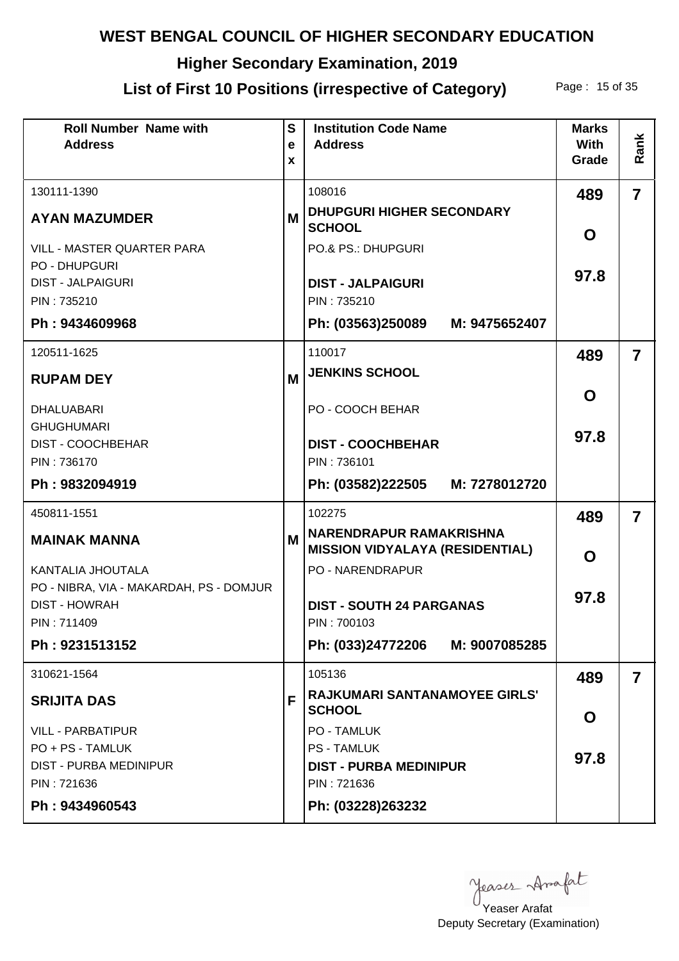# **Higher Secondary Examination, 2019**

## List of First 10 Positions (irrespective of Category) Page: 15 of 35

| <b>Roll Number Name with</b><br><b>Address</b>                  | $\mathbf{s}$<br>e<br>X | <b>Institution Code Name</b><br><b>Address</b>                           | <b>Marks</b><br><b>With</b><br>Grade | Rank                    |
|-----------------------------------------------------------------|------------------------|--------------------------------------------------------------------------|--------------------------------------|-------------------------|
| 130111-1390                                                     |                        | 108016                                                                   | 489                                  | $\overline{7}$          |
| <b>AYAN MAZUMDER</b>                                            | М                      | <b>DHUPGURI HIGHER SECONDARY</b><br><b>SCHOOL</b>                        | O                                    |                         |
| VILL - MASTER QUARTER PARA                                      |                        | PO.& PS.: DHUPGURI                                                       |                                      |                         |
| <b>PO - DHUPGURI</b><br><b>DIST - JALPAIGURI</b>                |                        | <b>DIST - JALPAIGURI</b>                                                 | 97.8                                 |                         |
| PIN: 735210                                                     |                        | PIN: 735210                                                              |                                      |                         |
| Ph: 9434609968                                                  |                        | Ph: (03563)250089<br>M: 9475652407                                       |                                      |                         |
| 120511-1625                                                     |                        | 110017                                                                   | 489                                  | $\overline{7}$          |
| <b>RUPAM DEY</b>                                                | M                      | <b>JENKINS SCHOOL</b>                                                    |                                      |                         |
| <b>DHALUABARI</b>                                               |                        | PO - COOCH BEHAR                                                         | O                                    |                         |
| <b>GHUGHUMARI</b><br><b>DIST - COOCHBEHAR</b>                   |                        | <b>DIST - COOCHBEHAR</b>                                                 | 97.8                                 |                         |
| PIN: 736170                                                     |                        | PIN: 736101                                                              |                                      |                         |
| Ph: 9832094919                                                  |                        | Ph: (03582)222505<br>M: 7278012720                                       |                                      |                         |
| 450811-1551                                                     |                        | 102275                                                                   | 489                                  | $\overline{\mathbf{z}}$ |
| <b>MAINAK MANNA</b>                                             | M                      | <b>NARENDRAPUR RAMAKRISHNA</b><br><b>MISSION VIDYALAYA (RESIDENTIAL)</b> | O                                    |                         |
| KANTALIA JHOUTALA                                               |                        | <b>PO - NARENDRAPUR</b>                                                  |                                      |                         |
| PO - NIBRA, VIA - MAKARDAH, PS - DOMJUR<br><b>DIST - HOWRAH</b> |                        | <b>DIST - SOUTH 24 PARGANAS</b>                                          | 97.8                                 |                         |
| PIN: 711409                                                     |                        | PIN: 700103                                                              |                                      |                         |
| Ph: 9231513152                                                  |                        | Ph: (033)24772206 M: 9007085285                                          |                                      |                         |
| 310621-1564                                                     |                        | 105136                                                                   | 489                                  | $\overline{\mathbf{7}}$ |
| <b>SRIJITA DAS</b>                                              | F                      | <b>RAJKUMARI SANTANAMOYEE GIRLS'</b><br><b>SCHOOL</b>                    | O                                    |                         |
| <b>VILL - PARBATIPUR</b>                                        |                        | <b>PO - TAMLUK</b>                                                       |                                      |                         |
| PO + PS - TAMLUK                                                |                        | <b>PS - TAMLUK</b>                                                       | 97.8                                 |                         |
| <b>DIST - PURBA MEDINIPUR</b><br>PIN: 721636                    |                        | <b>DIST - PURBA MEDINIPUR</b><br>PIN: 721636                             |                                      |                         |
| Ph: 9434960543                                                  |                        | Ph: (03228)263232                                                        |                                      |                         |

yeases Anafat

Deputy Secretary (Examination) Yeaser Arafat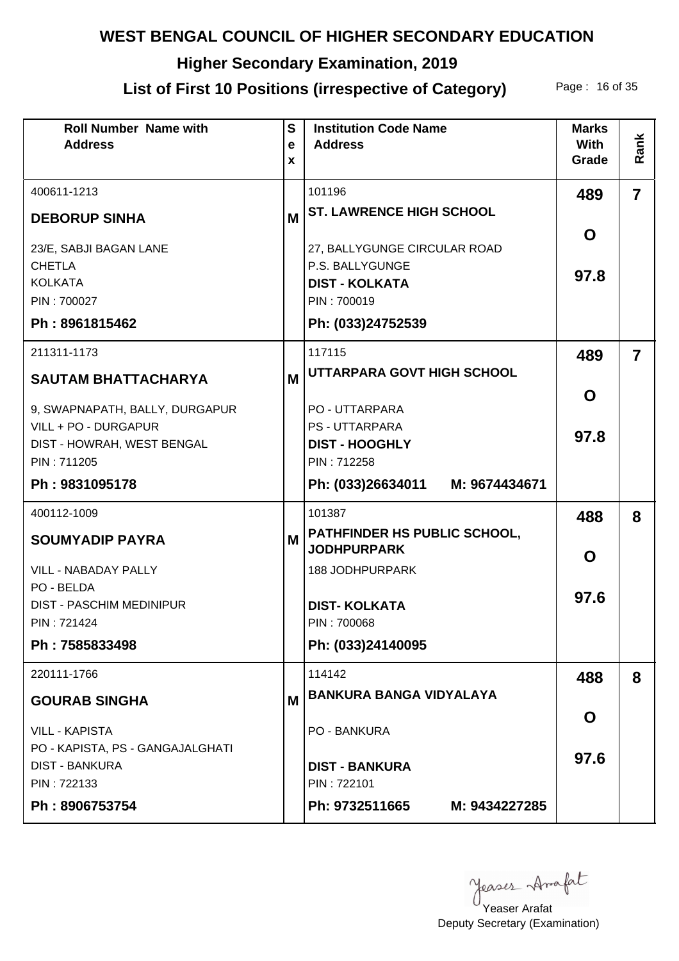# **Higher Secondary Examination, 2019**

## List of First 10 Positions (irrespective of Category) Page: 16 of 35

| <b>Roll Number Name with</b><br><b>Address</b>                                             | $\mathbf{s}$<br>e<br>X | <b>Institution Code Name</b><br><b>Address</b>                                          | <b>Marks</b><br><b>With</b><br>Grade | Rank                    |
|--------------------------------------------------------------------------------------------|------------------------|-----------------------------------------------------------------------------------------|--------------------------------------|-------------------------|
| 400611-1213                                                                                |                        | 101196                                                                                  | 489                                  | $\overline{\mathbf{7}}$ |
| <b>DEBORUP SINHA</b>                                                                       | M                      | <b>ST. LAWRENCE HIGH SCHOOL</b>                                                         |                                      |                         |
| 23/E, SABJI BAGAN LANE<br><b>CHETLA</b><br><b>KOLKATA</b><br>PIN: 700027<br>Ph: 8961815462 |                        | 27, BALLYGUNGE CIRCULAR ROAD<br>P.S. BALLYGUNGE<br><b>DIST - KOLKATA</b><br>PIN: 700019 | O<br>97.8                            |                         |
|                                                                                            |                        | Ph: (033)24752539                                                                       |                                      |                         |
| 211311-1173                                                                                |                        | 117115<br>UTTARPARA GOVT HIGH SCHOOL                                                    | 489                                  | $\overline{7}$          |
| <b>SAUTAM BHATTACHARYA</b>                                                                 | M                      |                                                                                         | $\mathbf O$                          |                         |
| 9, SWAPNAPATH, BALLY, DURGAPUR<br>VILL + PO - DURGAPUR<br>DIST - HOWRAH, WEST BENGAL       |                        | <b>PO - UTTARPARA</b><br><b>PS - UTTARPARA</b><br><b>DIST - HOOGHLY</b>                 | 97.8                                 |                         |
| PIN: 711205<br>Ph: 9831095178                                                              |                        | PIN: 712258<br>Ph: (033)26634011 M: 9674434671                                          |                                      |                         |
| 400112-1009                                                                                |                        | 101387                                                                                  | 488                                  | 8                       |
| <b>SOUMYADIP PAYRA</b>                                                                     | M                      | PATHFINDER HS PUBLIC SCHOOL,                                                            |                                      |                         |
| <b>VILL - NABADAY PALLY</b>                                                                |                        | <b>JODHPURPARK</b><br><b>188 JODHPURPARK</b>                                            | O                                    |                         |
| PO - BELDA<br><b>DIST - PASCHIM MEDINIPUR</b><br>PIN: 721424                               |                        | <b>DIST-KOLKATA</b><br>PIN: 700068                                                      | 97.6                                 |                         |
| Ph: 7585833498                                                                             |                        | Ph: (033)24140095                                                                       |                                      |                         |
| 220111-1766                                                                                |                        | 114142                                                                                  | 488                                  | 8                       |
| <b>GOURAB SINGHA</b>                                                                       | M                      | <b>BANKURA BANGA VIDYALAYA</b>                                                          |                                      |                         |
| <b>VILL - KAPISTA</b>                                                                      |                        | <b>PO - BANKURA</b>                                                                     | O                                    |                         |
| PO - KAPISTA, PS - GANGAJALGHATI<br><b>DIST - BANKURA</b><br>PIN: 722133                   |                        | <b>DIST - BANKURA</b><br>PIN: 722101                                                    | 97.6                                 |                         |
| Ph: 8906753754                                                                             |                        | Ph: 9732511665<br>M: 9434227285                                                         |                                      |                         |

Yeaser Arafat

Deputy Secretary (Examination)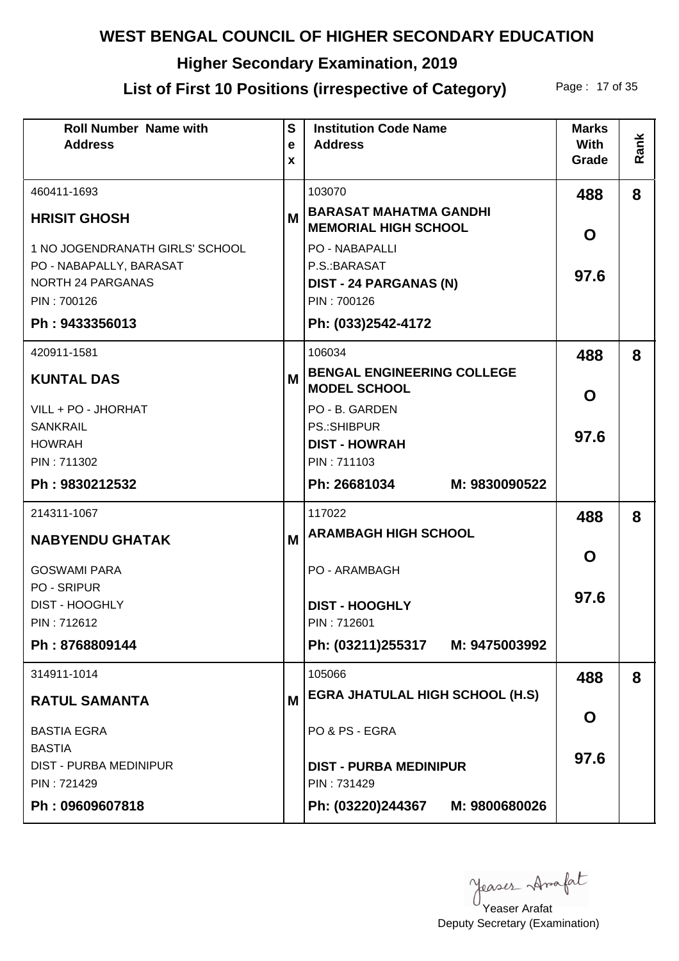# **Higher Secondary Examination, 2019**

# List of First 10 Positions (irrespective of Category) Page: 17 of 35

| <b>Roll Number Name with</b><br><b>Address</b>      | $\mathbf{s}$<br>e | <b>Institution Code Name</b><br><b>Address</b>               | <b>Marks</b><br>With | Rank |
|-----------------------------------------------------|-------------------|--------------------------------------------------------------|----------------------|------|
|                                                     | X                 |                                                              | Grade                |      |
| 460411-1693                                         |                   | 103070                                                       | 488                  | 8    |
| <b>HRISIT GHOSH</b>                                 | M                 | <b>BARASAT MAHATMA GANDHI</b><br><b>MEMORIAL HIGH SCHOOL</b> | O                    |      |
| 1 NO JOGENDRANATH GIRLS' SCHOOL                     |                   | PO - NABAPALLI                                               |                      |      |
| PO - NABAPALLY, BARASAT<br><b>NORTH 24 PARGANAS</b> |                   | P.S.: BARASAT<br><b>DIST - 24 PARGANAS (N)</b>               | 97.6                 |      |
| PIN: 700126                                         |                   | PIN: 700126                                                  |                      |      |
| Ph: 9433356013                                      |                   | Ph: (033)2542-4172                                           |                      |      |
| 420911-1581                                         |                   | 106034                                                       | 488                  | 8    |
| <b>KUNTAL DAS</b>                                   | M                 | <b>BENGAL ENGINEERING COLLEGE</b><br><b>MODEL SCHOOL</b>     | O                    |      |
| VILL + PO - JHORHAT                                 |                   | PO - B. GARDEN                                               |                      |      |
| <b>SANKRAIL</b><br><b>HOWRAH</b>                    |                   | PS.:SHIBPUR<br><b>DIST - HOWRAH</b>                          | 97.6                 |      |
| PIN: 711302                                         |                   | PIN: 711103                                                  |                      |      |
| Ph: 9830212532                                      |                   | Ph: 26681034<br>M: 9830090522                                |                      |      |
| 214311-1067                                         |                   | 117022                                                       | 488                  | 8    |
| <b>NABYENDU GHATAK</b>                              | M                 | <b>ARAMBAGH HIGH SCHOOL</b>                                  |                      |      |
| <b>GOSWAMI PARA</b>                                 |                   | PO - ARAMBAGH                                                | O                    |      |
| <b>PO - SRIPUR</b><br><b>DIST - HOOGHLY</b>         |                   |                                                              | 97.6                 |      |
| PIN: 712612                                         |                   | <b>DIST - HOOGHLY</b><br>PIN: 712601                         |                      |      |
| Ph: 8768809144                                      |                   | Ph: (03211)255317 M: 9475003992                              |                      |      |
| 314911-1014                                         |                   | 105066                                                       | 488                  | 8    |
| <b>RATUL SAMANTA</b>                                | M                 | <b>EGRA JHATULAL HIGH SCHOOL (H.S)</b>                       |                      |      |
| <b>BASTIA EGRA</b>                                  |                   | PO & PS - EGRA                                               | O                    |      |
| <b>BASTIA</b><br><b>DIST - PURBA MEDINIPUR</b>      |                   | <b>DIST - PURBA MEDINIPUR</b>                                | 97.6                 |      |
| PIN: 721429                                         |                   | PIN: 731429                                                  |                      |      |
| Ph: 09609607818                                     |                   | Ph: (03220)244367 M: 9800680026                              |                      |      |

Yeaser Arafat

Deputy Secretary (Examination)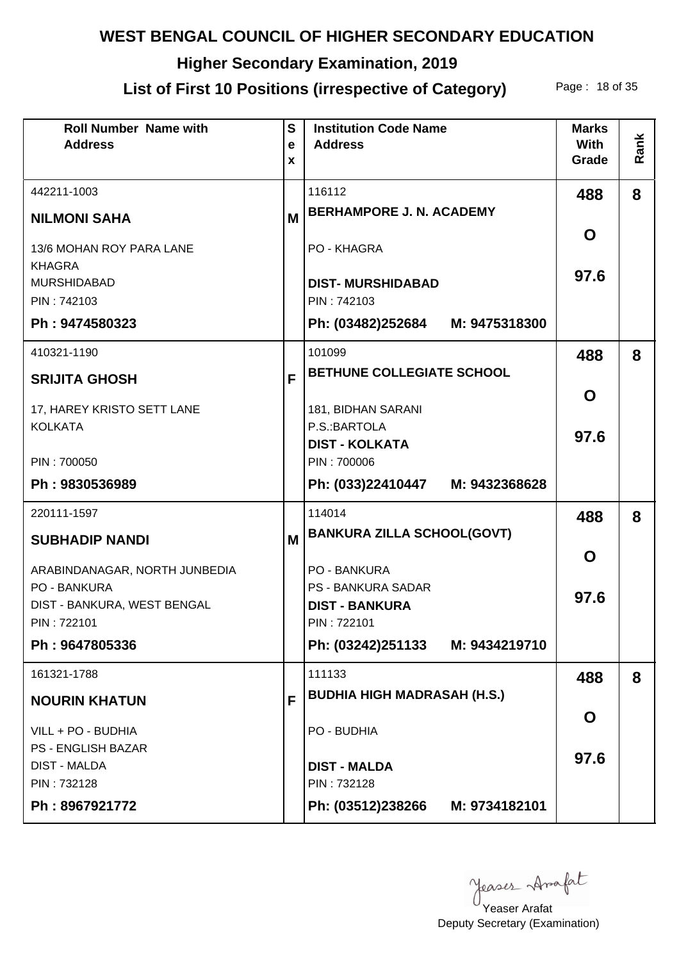# **Higher Secondary Examination, 2019**

## List of First 10 Positions (irrespective of Category) Page: 18 of 35

| <b>Roll Number Name with</b><br><b>Address</b> | $\mathbf{s}$<br>e<br>X | <b>Institution Code Name</b><br><b>Address</b>     | <b>Marks</b><br><b>With</b><br>Grade | Rank |
|------------------------------------------------|------------------------|----------------------------------------------------|--------------------------------------|------|
| 442211-1003                                    |                        | 116112                                             | 488                                  | 8    |
| <b>NILMONI SAHA</b>                            | M                      | <b>BERHAMPORE J. N. ACADEMY</b>                    |                                      |      |
| 13/6 MOHAN ROY PARA LANE                       |                        | PO - KHAGRA                                        | O                                    |      |
| <b>KHAGRA</b>                                  |                        |                                                    | 97.6                                 |      |
| <b>MURSHIDABAD</b><br>PIN: 742103              |                        | <b>DIST-MURSHIDABAD</b><br>PIN: 742103             |                                      |      |
| Ph: 9474580323                                 |                        | Ph: (03482)252684 M: 9475318300                    |                                      |      |
| 410321-1190                                    |                        | 101099                                             | 488                                  | 8    |
| <b>SRIJITA GHOSH</b>                           | F                      | <b>BETHUNE COLLEGIATE SCHOOL</b>                   |                                      |      |
| 17, HAREY KRISTO SETT LANE                     |                        | 181, BIDHAN SARANI                                 | O                                    |      |
| <b>KOLKATA</b>                                 |                        | P.S.: BARTOLA                                      | 97.6                                 |      |
|                                                |                        | <b>DIST - KOLKATA</b><br>PIN: 700006               |                                      |      |
| PIN: 700050<br>Ph: 9830536989                  |                        | Ph: (033)22410447 M: 9432368628                    |                                      |      |
|                                                |                        |                                                    |                                      |      |
| 220111-1597                                    |                        | 114014<br><b>BANKURA ZILLA SCHOOL(GOVT)</b>        | 488                                  | 8    |
| <b>SUBHADIP NANDI</b>                          | M                      |                                                    | O                                    |      |
| ARABINDANAGAR, NORTH JUNBEDIA                  |                        | PO - BANKURA                                       |                                      |      |
| PO - BANKURA<br>DIST - BANKURA, WEST BENGAL    |                        | <b>PS - BANKURA SADAR</b><br><b>DIST - BANKURA</b> | 97.6                                 |      |
| PIN: 722101                                    |                        | PIN: 722101                                        |                                      |      |
| Ph: 9647805336                                 |                        | Ph: (03242)251133 M: 9434219710                    |                                      |      |
| 161321-1788                                    |                        | 111133                                             | 488                                  | 8    |
| <b>NOURIN KHATUN</b>                           | F                      | <b>BUDHIA HIGH MADRASAH (H.S.)</b>                 |                                      |      |
| VILL + PO - BUDHIA                             |                        | PO - BUDHIA                                        | O                                    |      |
| <b>PS - ENGLISH BAZAR</b>                      |                        |                                                    | 97.6                                 |      |
| <b>DIST - MALDA</b><br>PIN: 732128             |                        | <b>DIST - MALDA</b><br>PIN: 732128                 |                                      |      |
| Ph: 8967921772                                 |                        | Ph: (03512)238266 M: 9734182101                    |                                      |      |
|                                                |                        |                                                    |                                      |      |

yeases Anafat

Deputy Secretary (Examination) Yeaser Arafat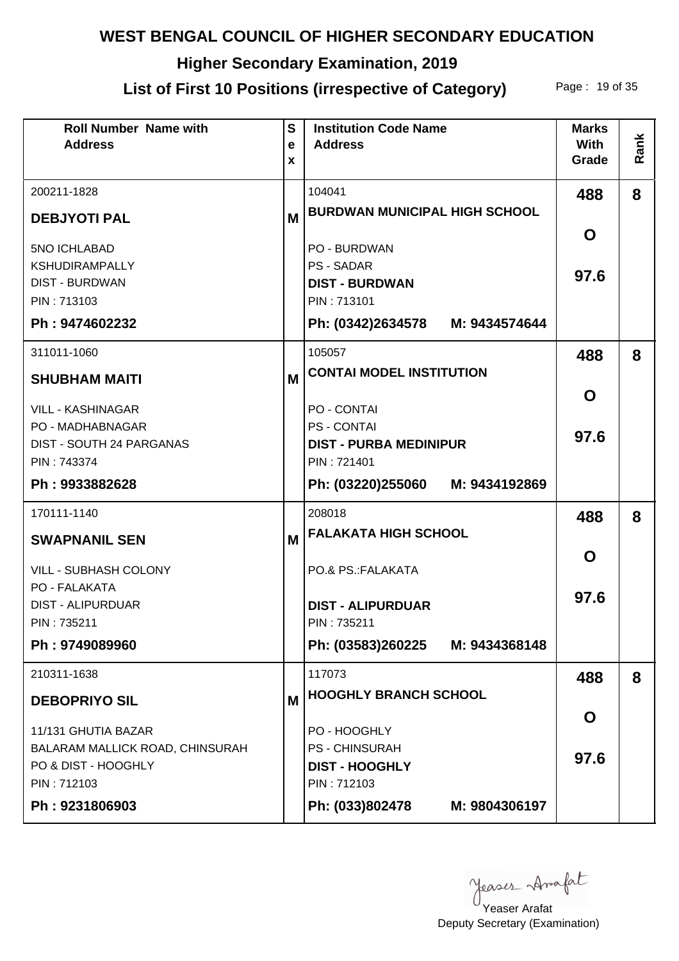# **Higher Secondary Examination, 2019**

## List of First 10 Positions (irrespective of Category) Page: 19 of 35

| <b>Roll Number Name with</b><br><b>Address</b> | S<br>e<br>X | <b>Institution Code Name</b><br><b>Address</b>  | <b>Marks</b><br><b>With</b><br>Grade | Rank |
|------------------------------------------------|-------------|-------------------------------------------------|--------------------------------------|------|
| 200211-1828                                    |             | 104041                                          | 488                                  | 8    |
| <b>DEBJYOTI PAL</b>                            | M           | <b>BURDWAN MUNICIPAL HIGH SCHOOL</b>            |                                      |      |
| 5NO ICHLABAD                                   |             | PO - BURDWAN                                    | O                                    |      |
| <b>KSHUDIRAMPALLY</b><br><b>DIST - BURDWAN</b> |             | <b>PS - SADAR</b><br><b>DIST - BURDWAN</b>      | 97.6                                 |      |
| PIN: 713103                                    |             | PIN: 713101                                     |                                      |      |
| Ph: 9474602232                                 |             | Ph: (0342)2634578 M: 9434574644                 |                                      |      |
| 311011-1060                                    |             | 105057                                          | 488                                  | 8    |
| <b>SHUBHAM MAITI</b>                           | M           | <b>CONTAI MODEL INSTITUTION</b>                 |                                      |      |
| <b>VILL - KASHINAGAR</b>                       |             | <b>PO - CONTAI</b>                              | O                                    |      |
| PO - MADHABNAGAR                               |             | <b>PS - CONTAI</b>                              | 97.6                                 |      |
| DIST - SOUTH 24 PARGANAS<br>PIN: 743374        |             | <b>DIST - PURBA MEDINIPUR</b><br>PIN: 721401    |                                      |      |
| Ph: 9933882628                                 |             | Ph: (03220)255060 M: 9434192869                 |                                      |      |
| 170111-1140                                    |             | 208018                                          |                                      |      |
|                                                |             | <b>FALAKATA HIGH SCHOOL</b>                     | 488                                  | 8    |
| <b>SWAPNANIL SEN</b>                           | M           |                                                 | O                                    |      |
| <b>VILL - SUBHASH COLONY</b>                   |             | PO.& PS.: FALAKATA                              |                                      |      |
| PO - FALAKATA<br><b>DIST - ALIPURDUAR</b>      |             | <b>DIST - ALIPURDUAR</b>                        | 97.6                                 |      |
| PIN: 735211                                    |             | PIN: 735211                                     |                                      |      |
| Ph: 9749089960                                 |             | Ph: (03583)260225 M: 9434368148                 |                                      |      |
| 210311-1638                                    |             | 117073                                          | 488                                  | 8    |
| <b>DEBOPRIYO SIL</b>                           | M           | <b>HOOGHLY BRANCH SCHOOL</b>                    |                                      |      |
| 11/131 GHUTIA BAZAR                            |             | PO - HOOGHLY                                    | O                                    |      |
| BALARAM MALLICK ROAD, CHINSURAH                |             | <b>PS - CHINSURAH</b>                           | 97.6                                 |      |
| PO & DIST - HOOGHLY                            |             | <b>DIST - HOOGHLY</b>                           |                                      |      |
| PIN: 712103<br>Ph: 9231806903                  |             | PIN: 712103<br>Ph: (033)802478<br>M: 9804306197 |                                      |      |
|                                                |             |                                                 |                                      |      |

yeases Anafat

Deputy Secretary (Examination) Yeaser Arafat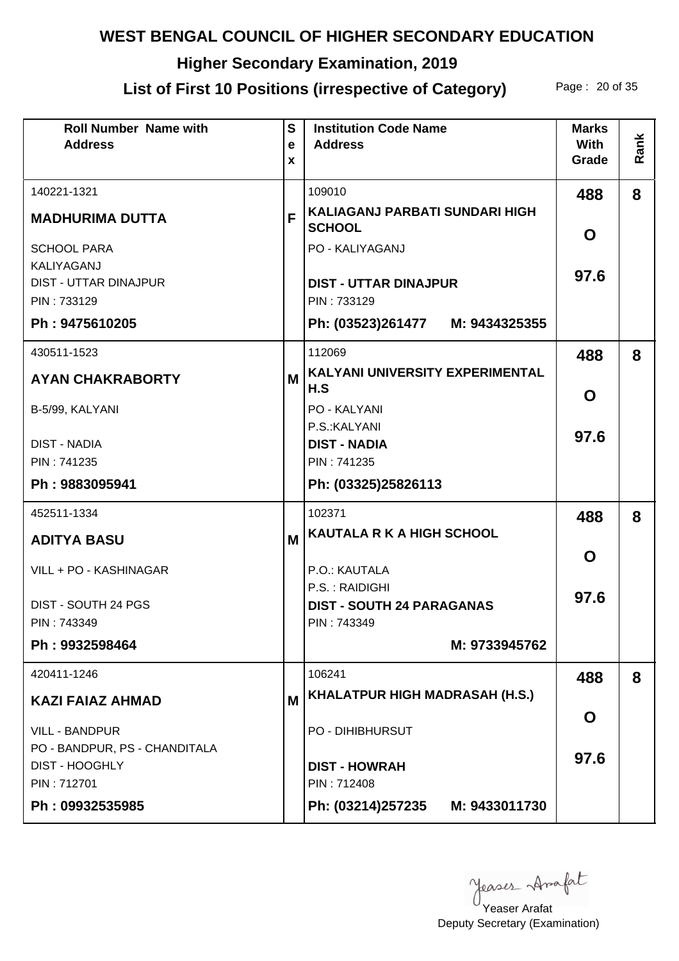# **Higher Secondary Examination, 2019**

# List of First 10 Positions (irrespective of Category) Page: 20 of 35

| <b>Roll Number Name with</b><br><b>Address</b>         | $\mathbf{s}$<br>$\mathbf e$<br>X | <b>Institution Code Name</b><br><b>Address</b>         | <b>Marks</b><br><b>With</b><br>Grade | Rank |
|--------------------------------------------------------|----------------------------------|--------------------------------------------------------|--------------------------------------|------|
| 140221-1321                                            |                                  | 109010                                                 | 488                                  | 8    |
| <b>MADHURIMA DUTTA</b>                                 | F                                | <b>KALIAGANJ PARBATI SUNDARI HIGH</b><br><b>SCHOOL</b> | O                                    |      |
| <b>SCHOOL PARA</b>                                     |                                  | PO - KALIYAGANJ                                        |                                      |      |
| KALIYAGANJ<br><b>DIST - UTTAR DINAJPUR</b>             |                                  | <b>DIST - UTTAR DINAJPUR</b>                           | 97.6                                 |      |
| PIN: 733129                                            |                                  | PIN: 733129                                            |                                      |      |
| Ph: 9475610205                                         |                                  | Ph: (03523)261477 M: 9434325355                        |                                      |      |
| 430511-1523                                            |                                  | 112069                                                 | 488                                  | 8    |
| <b>AYAN CHAKRABORTY</b>                                | M                                | KALYANI UNIVERSITY EXPERIMENTAL<br>H.S                 | O                                    |      |
| B-5/99, KALYANI                                        |                                  | <b>PO - KALYANI</b>                                    |                                      |      |
| <b>DIST - NADIA</b>                                    |                                  | P.S.: KALYANI<br><b>DIST - NADIA</b>                   | 97.6                                 |      |
| PIN: 741235                                            |                                  | PIN: 741235                                            |                                      |      |
| Ph: 9883095941                                         |                                  | Ph: (03325)25826113                                    |                                      |      |
| 452511-1334                                            |                                  | 102371                                                 | 488                                  | 8    |
| <b>ADITYA BASU</b>                                     | M                                | <b>KAUTALA R K A HIGH SCHOOL</b>                       |                                      |      |
| VILL + PO - KASHINAGAR                                 |                                  | P.O.: KAUTALA                                          | O                                    |      |
|                                                        |                                  | P.S.: RAIDIGHI                                         | 97.6                                 |      |
| DIST - SOUTH 24 PGS<br>PIN: 743349                     |                                  | <b>DIST - SOUTH 24 PARAGANAS</b><br>PIN: 743349        |                                      |      |
| Ph: 9932598464                                         |                                  | M: 9733945762                                          |                                      |      |
| 420411-1246                                            |                                  | 106241                                                 | 488                                  | 8    |
| <b>KAZI FAIAZ AHMAD</b>                                | M                                | KHALATPUR HIGH MADRASAH (H.S.)                         |                                      |      |
| <b>VILL - BANDPUR</b>                                  |                                  | <b>PO - DIHIBHURSUT</b>                                | O                                    |      |
| PO - BANDPUR, PS - CHANDITALA<br><b>DIST - HOOGHLY</b> |                                  | <b>DIST - HOWRAH</b>                                   | 97.6                                 |      |
| PIN: 712701                                            |                                  | PIN: 712408                                            |                                      |      |
| Ph: 09932535985                                        |                                  | Ph: (03214)257235<br>M: 9433011730                     |                                      |      |

Yeaser Arafat

Deputy Secretary (Examination)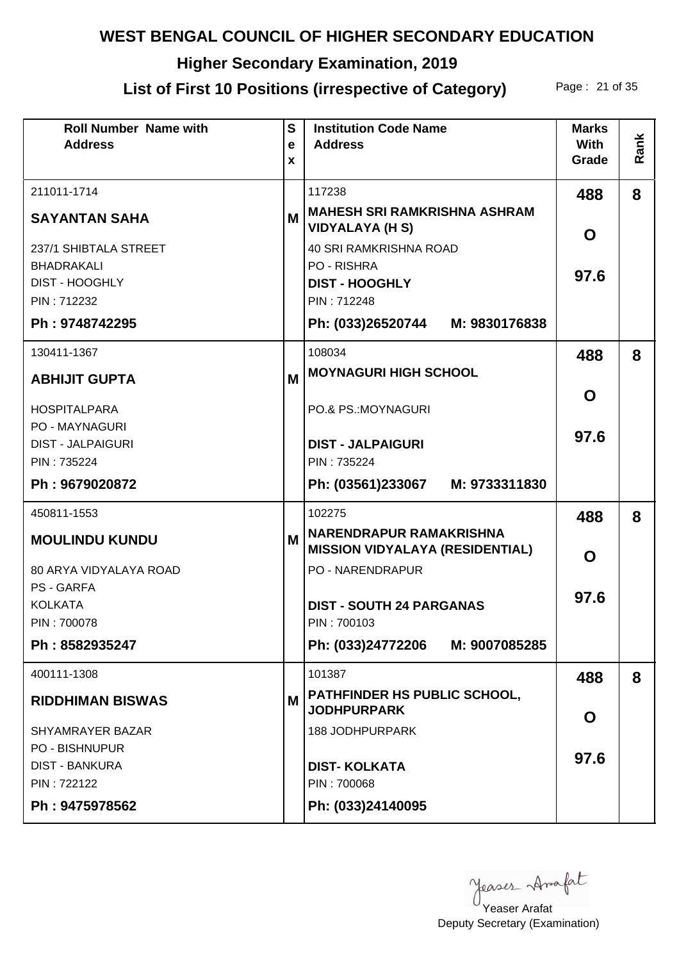# **Higher Secondary Examination, 2019**

# List of First 10 Positions (irrespective of Category) Page: 21 of 35

| <b>Roll Number Name with</b><br><b>Address</b> | $\mathbf{s}$<br>$\mathbf e$ | <b>Institution Code Name</b><br><b>Address</b>                    | <b>Marks</b><br><b>With</b> | Rank |
|------------------------------------------------|-----------------------------|-------------------------------------------------------------------|-----------------------------|------|
|                                                | X                           |                                                                   | Grade                       |      |
| 211011-1714                                    |                             | 117238                                                            | 488                         | 8    |
| <b>SAYANTAN SAHA</b>                           | M                           | <b>MAHESH SRI RAMKRISHNA ASHRAM</b><br><b>VIDYALAYA (H S)</b>     | O                           |      |
| 237/1 SHIBTALA STREET                          |                             | <b>40 SRI RAMKRISHNA ROAD</b>                                     |                             |      |
| <b>BHADRAKALI</b><br><b>DIST - HOOGHLY</b>     |                             | PO - RISHRA<br><b>DIST - HOOGHLY</b>                              | 97.6                        |      |
| PIN: 712232                                    |                             | PIN: 712248                                                       |                             |      |
| Ph: 9748742295                                 |                             | Ph: (033)26520744 M: 9830176838                                   |                             |      |
| 130411-1367                                    |                             | 108034                                                            | 488                         | 8    |
| <b>ABHIJIT GUPTA</b>                           | M                           | <b>MOYNAGURI HIGH SCHOOL</b>                                      |                             |      |
| <b>HOSPITALPARA</b>                            |                             | PO.& PS.: MOYNAGURI                                               | O                           |      |
| <b>PO - MAYNAGURI</b>                          |                             |                                                                   | 97.6                        |      |
| <b>DIST - JALPAIGURI</b><br>PIN: 735224        |                             | <b>DIST - JALPAIGURI</b><br>PIN: 735224                           |                             |      |
| Ph: 9679020872                                 |                             | Ph: (03561)233067 M: 9733311830                                   |                             |      |
|                                                |                             |                                                                   |                             |      |
| 450811-1553                                    |                             | 102275                                                            |                             |      |
|                                                |                             |                                                                   | 488                         | 8    |
| <b>MOULINDU KUNDU</b>                          | M                           | <b>NARENDRAPUR RAMAKRISHNA</b>                                    |                             |      |
| 80 ARYA VIDYALAYA ROAD                         |                             | <b>MISSION VIDYALAYA (RESIDENTIAL)</b><br><b>PO - NARENDRAPUR</b> | O                           |      |
| <b>PS-GARFA</b>                                |                             |                                                                   |                             |      |
| <b>KOLKATA</b>                                 |                             | <b>DIST - SOUTH 24 PARGANAS</b>                                   | 97.6                        |      |
| PIN: 700078                                    |                             | PIN: 700103                                                       |                             |      |
| Ph: 8582935247                                 |                             | Ph: (033)24772206 M: 9007085285                                   |                             |      |
| 400111-1308                                    |                             | 101387                                                            | 488                         | 8    |
| <b>RIDDHIMAN BISWAS</b>                        | M                           | <b>PATHFINDER HS PUBLIC SCHOOL,</b><br><b>JODHPURPARK</b>         |                             |      |
| SHYAMRAYER BAZAR                               |                             | <b>188 JODHPURPARK</b>                                            | O                           |      |
| <b>PO - BISHNUPUR</b>                          |                             |                                                                   | 97.6                        |      |
| <b>DIST - BANKURA</b>                          |                             | <b>DIST-KOLKATA</b>                                               |                             |      |
| PIN: 722122<br>Ph: 9475978562                  |                             | PIN: 700068<br>Ph: (033)24140095                                  |                             |      |

Yeaser Arafat

Deputy Secretary (Examination)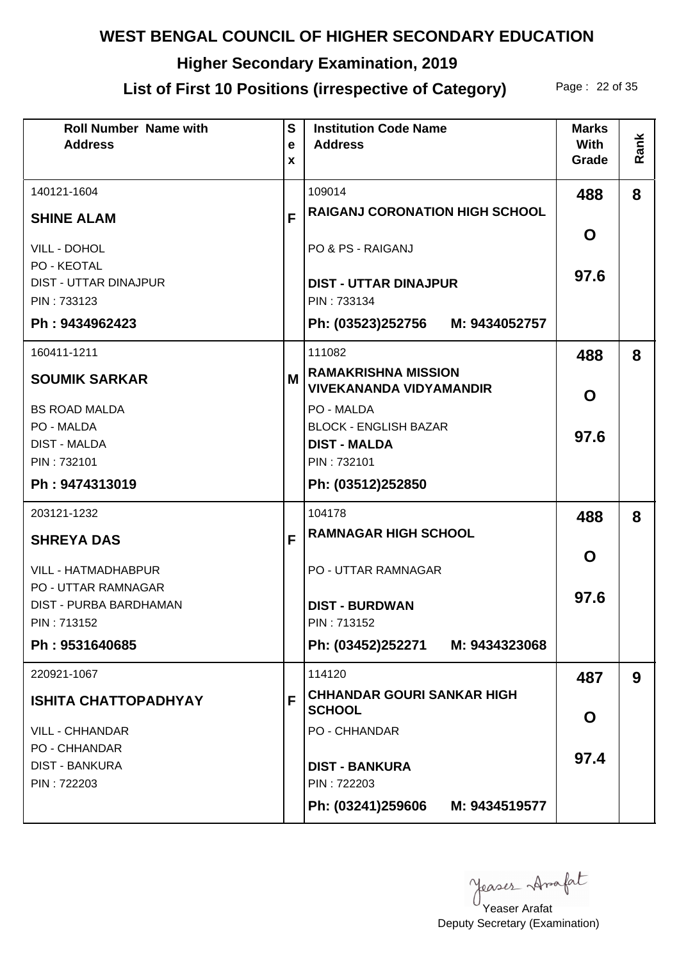# **Higher Secondary Examination, 2019**

# List of First 10 Positions (irrespective of Category) Page: 22 of 35

| <b>Roll Number Name with</b><br><b>Address</b>                             | $\mathbf{s}$<br>e<br>X | <b>Institution Code Name</b><br><b>Address</b>                    | <b>Marks</b><br><b>With</b><br>Grade | Rank |
|----------------------------------------------------------------------------|------------------------|-------------------------------------------------------------------|--------------------------------------|------|
| 140121-1604                                                                |                        | 109014                                                            | 488                                  | 8    |
| <b>SHINE ALAM</b>                                                          | F                      | <b>RAIGANJ CORONATION HIGH SCHOOL</b>                             |                                      |      |
| VILL - DOHOL<br>PO - KEOTAL<br><b>DIST - UTTAR DINAJPUR</b><br>PIN: 733123 |                        | PO & PS - RAIGANJ<br><b>DIST - UTTAR DINAJPUR</b><br>PIN: 733134  | O<br>97.6                            |      |
| Ph: 9434962423                                                             |                        | Ph: (03523)252756 M: 9434052757                                   |                                      |      |
| 160411-1211                                                                |                        | 111082                                                            | 488                                  | 8    |
| <b>SOUMIK SARKAR</b>                                                       | M                      | <b>RAMAKRISHNA MISSION</b><br><b>VIVEKANANDA VIDYAMANDIR</b>      | O                                    |      |
| <b>BS ROAD MALDA</b><br>PO - MALDA<br><b>DIST - MALDA</b>                  |                        | PO - MALDA<br><b>BLOCK - ENGLISH BAZAR</b><br><b>DIST - MALDA</b> | 97.6                                 |      |
| PIN: 732101<br>Ph: 9474313019                                              |                        | PIN: 732101<br>Ph: (03512)252850                                  |                                      |      |
| 203121-1232                                                                |                        | 104178                                                            | 488                                  | 8    |
| <b>SHREYA DAS</b>                                                          | F                      | <b>RAMNAGAR HIGH SCHOOL</b>                                       |                                      |      |
| <b>VILL - HATMADHABPUR</b>                                                 |                        | <b>PO - UTTAR RAMNAGAR</b>                                        | O                                    |      |
| <b>PO - UTTAR RAMNAGAR</b><br><b>DIST - PURBA BARDHAMAN</b><br>PIN: 713152 |                        | <b>DIST - BURDWAN</b><br>PIN: 713152                              | 97.6                                 |      |
| Ph: 9531640685                                                             |                        | Ph: (03452)252271 M: 9434323068                                   |                                      |      |
| 220921-1067                                                                |                        | 114120                                                            | 487                                  | 9    |
| <b>ISHITA CHATTOPADHYAY</b>                                                | F                      | <b>CHHANDAR GOURI SANKAR HIGH</b><br><b>SCHOOL</b>                | O                                    |      |
| <b>VILL - CHHANDAR</b>                                                     |                        | <b>PO - CHHANDAR</b>                                              |                                      |      |
| <b>PO - CHHANDAR</b><br><b>DIST - BANKURA</b>                              |                        | <b>DIST - BANKURA</b>                                             | 97.4                                 |      |
| PIN: 722203                                                                |                        | PIN: 722203<br>Ph: (03241)259606<br>M: 9434519577                 |                                      |      |

yeases Anafat

Deputy Secretary (Examination) Yeaser Arafat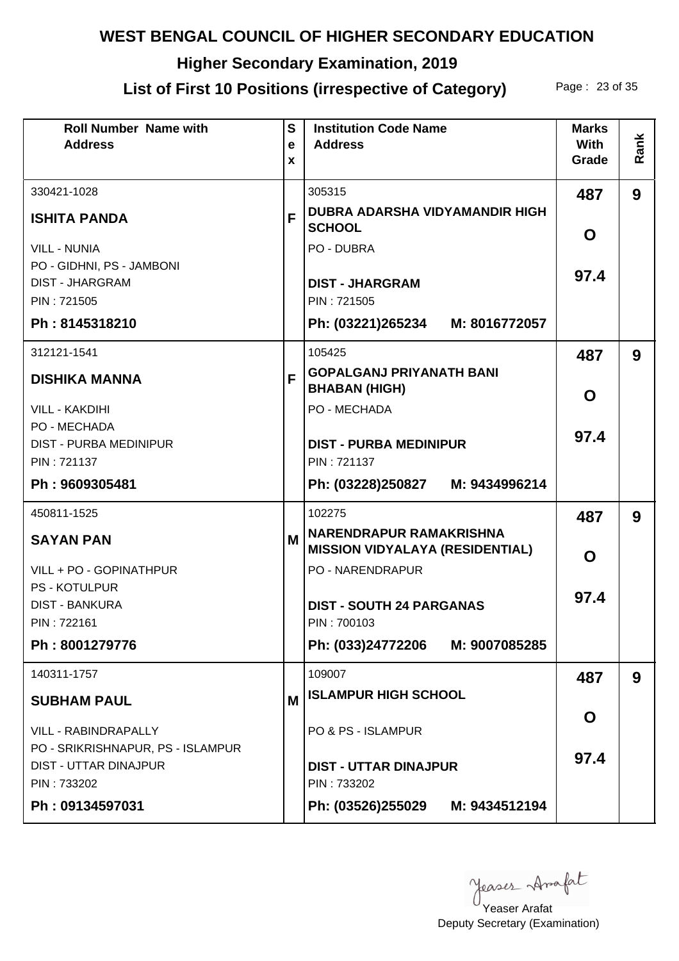# **Higher Secondary Examination, 2019**

## List of First 10 Positions (irrespective of Category) Page: 23 of 35

| <b>Roll Number Name with</b><br><b>Address</b>             | $\mathbf{s}$<br>e<br>X | <b>Institution Code Name</b><br><b>Address</b>                           | <b>Marks</b><br><b>With</b><br>Grade | Rank |
|------------------------------------------------------------|------------------------|--------------------------------------------------------------------------|--------------------------------------|------|
| 330421-1028                                                |                        | 305315                                                                   | 487                                  | 9    |
| <b>ISHITA PANDA</b>                                        | F                      | DUBRA ADARSHA VIDYAMANDIR HIGH<br><b>SCHOOL</b>                          | O                                    |      |
| <b>VILL - NUNIA</b>                                        |                        | PO - DUBRA                                                               |                                      |      |
| PO - GIDHNI, PS - JAMBONI<br><b>DIST - JHARGRAM</b>        |                        | <b>DIST - JHARGRAM</b>                                                   | 97.4                                 |      |
| PIN: 721505                                                |                        | PIN: 721505                                                              |                                      |      |
| Ph: 8145318210                                             |                        | Ph: (03221)265234 M: 8016772057                                          |                                      |      |
| 312121-1541                                                |                        | 105425                                                                   | 487                                  | 9    |
| <b>DISHIKA MANNA</b>                                       | F                      | <b>GOPALGANJ PRIYANATH BANI</b><br><b>BHABAN (HIGH)</b>                  | O                                    |      |
| <b>VILL - KAKDIHI</b>                                      |                        | PO - MECHADA                                                             |                                      |      |
| PO - MECHADA<br><b>DIST - PURBA MEDINIPUR</b>              |                        | <b>DIST - PURBA MEDINIPUR</b>                                            | 97.4                                 |      |
| PIN: 721137                                                |                        | PIN: 721137                                                              |                                      |      |
| Ph: 9609305481                                             |                        | Ph: (03228)250827 M: 9434996214                                          |                                      |      |
| 450811-1525                                                |                        | 102275                                                                   | 487                                  | 9    |
| <b>SAYAN PAN</b>                                           | M                      | <b>NARENDRAPUR RAMAKRISHNA</b><br><b>MISSION VIDYALAYA (RESIDENTIAL)</b> | O                                    |      |
| VILL + PO - GOPINATHPUR                                    |                        | <b>PO - NARENDRAPUR</b>                                                  |                                      |      |
| <b>PS - KOTULPUR</b><br><b>DIST - BANKURA</b>              |                        | <b>DIST - SOUTH 24 PARGANAS</b>                                          | 97.4                                 |      |
| PIN: 722161                                                |                        | PIN: 700103                                                              |                                      |      |
| Ph: 8001279776                                             |                        | Ph: (033)24772206 M: 9007085285                                          |                                      |      |
| 140311-1757                                                |                        | 109007                                                                   | 487                                  | 9    |
| <b>SUBHAM PAUL</b>                                         | M                      | <b>ISLAMPUR HIGH SCHOOL</b>                                              |                                      |      |
| <b>VILL - RABINDRAPALLY</b>                                |                        | PO & PS - ISLAMPUR                                                       | O                                    |      |
| PO - SRIKRISHNAPUR, PS - ISLAMPUR<br>DIST - UTTAR DINAJPUR |                        | <b>DIST - UTTAR DINAJPUR</b>                                             | 97.4                                 |      |
| PIN: 733202                                                |                        | PIN: 733202                                                              |                                      |      |
| Ph: 09134597031                                            |                        | Ph: (03526)255029 M: 9434512194                                          |                                      |      |

yeases Anafat

Deputy Secretary (Examination) Yeaser Arafat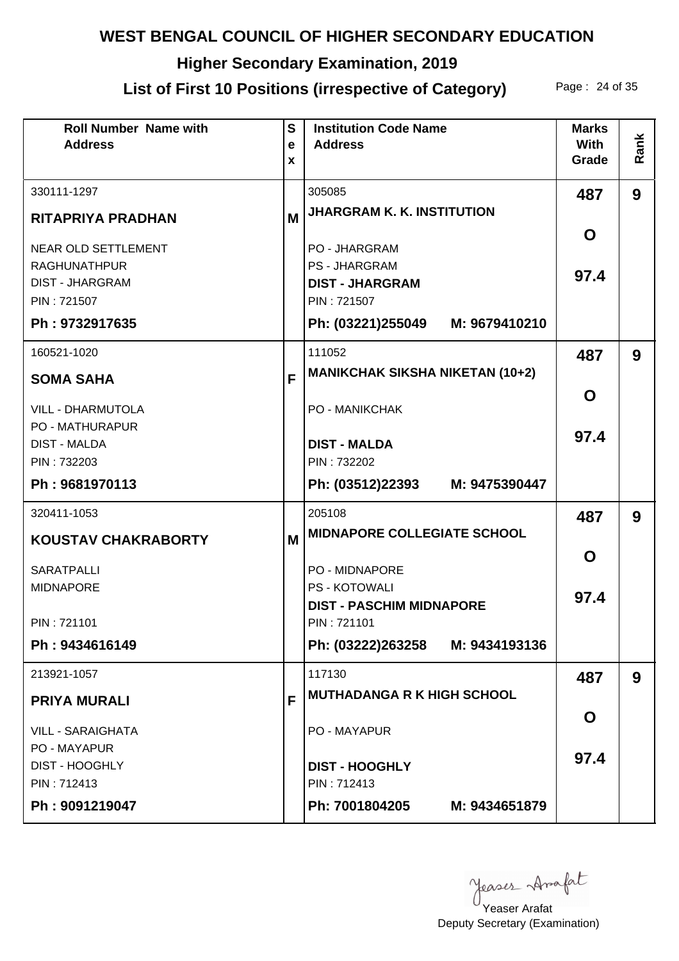# **Higher Secondary Examination, 2019**

## List of First 10 Positions (irrespective of Category) Page: 24 of 35

| <b>Roll Number Name with</b><br><b>Address</b> | $\mathbf{s}$<br>e<br>X | <b>Institution Code Name</b><br><b>Address</b> | <b>Marks</b><br><b>With</b><br>Grade | Rank |
|------------------------------------------------|------------------------|------------------------------------------------|--------------------------------------|------|
|                                                |                        |                                                |                                      |      |
| 330111-1297                                    |                        | 305085<br><b>JHARGRAM K. K. INSTITUTION</b>    | 487                                  | 9    |
| <b>RITAPRIYA PRADHAN</b>                       | M                      |                                                | O                                    |      |
| <b>NEAR OLD SETTLEMENT</b>                     |                        | <b>PO - JHARGRAM</b>                           |                                      |      |
| <b>RAGHUNATHPUR</b><br><b>DIST - JHARGRAM</b>  |                        | <b>PS - JHARGRAM</b><br><b>DIST - JHARGRAM</b> | 97.4                                 |      |
| PIN: 721507                                    |                        | PIN: 721507                                    |                                      |      |
| Ph: 9732917635                                 |                        | Ph: (03221)255049 M: 9679410210                |                                      |      |
| 160521-1020                                    |                        | 111052                                         | 487                                  | 9    |
| <b>SOMA SAHA</b>                               | F                      | <b>MANIKCHAK SIKSHA NIKETAN (10+2)</b>         |                                      |      |
| <b>VILL - DHARMUTOLA</b>                       |                        | <b>PO - MANIKCHAK</b>                          | O                                    |      |
| <b>PO - MATHURAPUR</b>                         |                        |                                                | 97.4                                 |      |
| <b>DIST - MALDA</b><br>PIN: 732203             |                        | <b>DIST - MALDA</b><br>PIN: 732202             |                                      |      |
| Ph: 9681970113                                 |                        | Ph: (03512)22393 M: 9475390447                 |                                      |      |
| 320411-1053                                    |                        | 205108                                         | 487                                  | 9    |
| <b>KOUSTAV CHAKRABORTY</b>                     | M                      | <b>MIDNAPORE COLLEGIATE SCHOOL</b>             |                                      |      |
|                                                |                        |                                                | O                                    |      |
| <b>SARATPALLI</b><br><b>MIDNAPORE</b>          |                        | <b>PO - MIDNAPORE</b><br><b>PS - KOTOWALI</b>  |                                      |      |
|                                                |                        | <b>DIST - PASCHIM MIDNAPORE</b>                | 97.4                                 |      |
| PIN: 721101                                    |                        | PIN: 721101                                    |                                      |      |
| Ph: 9434616149                                 |                        | Ph: (03222)263258 M: 9434193136                |                                      |      |
| 213921-1057                                    |                        | 117130                                         | 487                                  | 9    |
| <b>PRIYA MURALI</b>                            | F                      | <b>MUTHADANGA R K HIGH SCHOOL</b>              |                                      |      |
| <b>VILL - SARAIGHATA</b>                       |                        | PO - MAYAPUR                                   | O                                    |      |
| PO - MAYAPUR                                   |                        |                                                | 97.4                                 |      |
| <b>DIST - HOOGHLY</b><br>PIN: 712413           |                        | <b>DIST - HOOGHLY</b><br>PIN: 712413           |                                      |      |
| Ph: 9091219047                                 |                        | Ph: 7001804205<br>M: 9434651879                |                                      |      |
|                                                |                        |                                                |                                      |      |

yeases Anafat

Deputy Secretary (Examination) Yeaser Arafat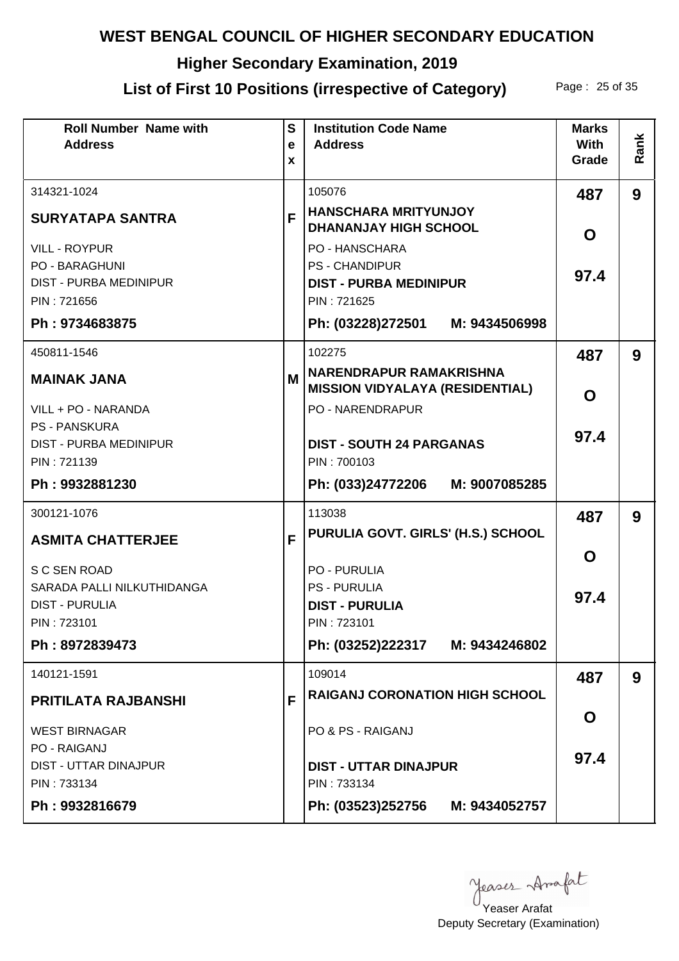# **Higher Secondary Examination, 2019**

# List of First 10 Positions (irrespective of Category) Page: 25 of 35

| <b>Roll Number Name with</b><br><b>Address</b>         | S<br>e<br>X | <b>Institution Code Name</b><br><b>Address</b>              | <b>Marks</b><br><b>With</b><br>Grade | Rank |
|--------------------------------------------------------|-------------|-------------------------------------------------------------|--------------------------------------|------|
| 314321-1024                                            |             | 105076                                                      | 487                                  | 9    |
| <b>SURYATAPA SANTRA</b>                                | F           | <b>HANSCHARA MRITYUNJOY</b><br><b>DHANANJAY HIGH SCHOOL</b> | O                                    |      |
| <b>VILL - ROYPUR</b>                                   |             | <b>PO - HANSCHARA</b><br><b>PS - CHANDIPUR</b>              |                                      |      |
| <b>PO - BARAGHUNI</b><br><b>DIST - PURBA MEDINIPUR</b> |             | <b>DIST - PURBA MEDINIPUR</b>                               | 97.4                                 |      |
| PIN: 721656                                            |             | PIN: 721625                                                 |                                      |      |
| Ph: 9734683875                                         |             | Ph: (03228)272501 M: 9434506998                             |                                      |      |
| 450811-1546                                            |             | 102275<br>NARENDRAPUR RAMAKRISHNA                           | 487                                  | 9    |
| <b>MAINAK JANA</b>                                     | M           | <b>MISSION VIDYALAYA (RESIDENTIAL)</b>                      | O                                    |      |
| VILL + PO - NARANDA<br><b>PS - PANSKURA</b>            |             | <b>PO - NARENDRAPUR</b>                                     |                                      |      |
| <b>DIST - PURBA MEDINIPUR</b>                          |             | <b>DIST - SOUTH 24 PARGANAS</b>                             | 97.4                                 |      |
| PIN: 721139                                            |             | PIN: 700103                                                 |                                      |      |
| Ph: 9932881230                                         |             | Ph: (033)24772206<br>M: 9007085285                          |                                      |      |
| 300121-1076                                            |             | 113038                                                      | 487                                  | 9    |
| <b>ASMITA CHATTERJEE</b>                               | F           | PURULIA GOVT. GIRLS' (H.S.) SCHOOL                          |                                      |      |
| S C SEN ROAD                                           |             | <b>PO - PURULIA</b>                                         | O                                    |      |
| SARADA PALLI NILKUTHIDANGA<br><b>DIST - PURULIA</b>    |             | <b>PS - PURULIA</b><br><b>DIST - PURULIA</b>                | 97.4                                 |      |
| PIN: 723101                                            |             | PIN: 723101                                                 |                                      |      |
| Ph: 8972839473                                         |             | Ph: (03252)222317 M: 9434246802                             |                                      |      |
| 140121-1591                                            |             | 109014                                                      | 487                                  | 9    |
| <b>PRITILATA RAJBANSHI</b>                             | F           | <b>RAIGANJ CORONATION HIGH SCHOOL</b>                       |                                      |      |
| <b>WEST BIRNAGAR</b>                                   |             | PO & PS - RAIGANJ                                           | O                                    |      |
| <b>PO - RAIGANJ</b><br><b>DIST - UTTAR DINAJPUR</b>    |             | <b>DIST - UTTAR DINAJPUR</b>                                | 97.4                                 |      |
| PIN: 733134                                            |             | PIN: 733134                                                 |                                      |      |
| Ph: 9932816679                                         |             | Ph: (03523)252756 M: 9434052757                             |                                      |      |

Yeaser Arafat

Deputy Secretary (Examination)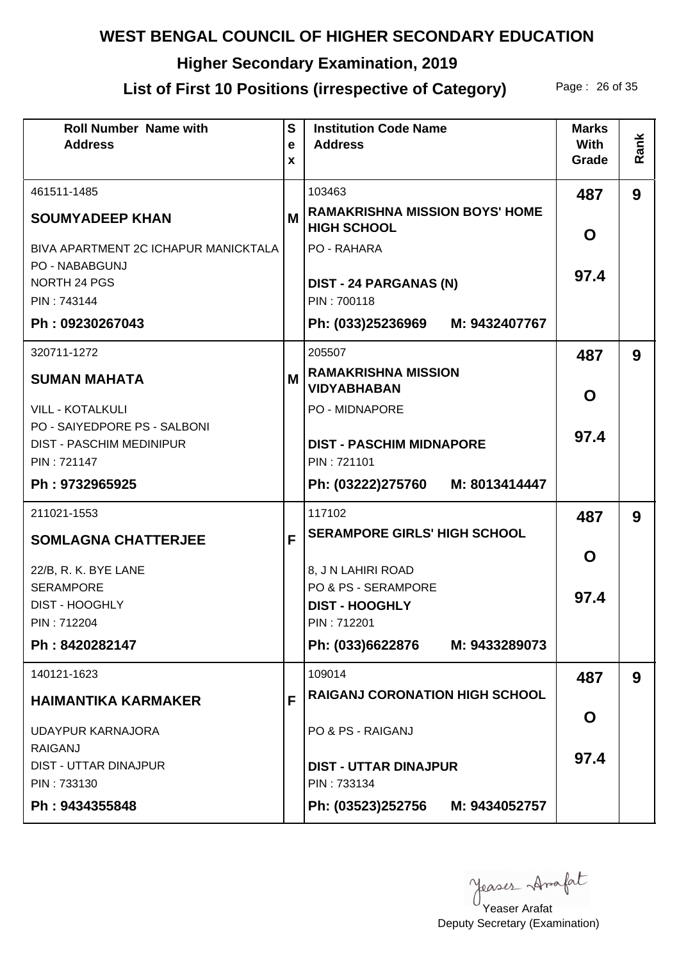# **Higher Secondary Examination, 2019**

# List of First 10 Positions (irrespective of Category) Page: 26 of 35

| <b>Roll Number Name with</b><br><b>Address</b>                  | S<br>e<br>X | <b>Institution Code Name</b><br><b>Address</b>              | <b>Marks</b><br>With<br>Grade | Rank |
|-----------------------------------------------------------------|-------------|-------------------------------------------------------------|-------------------------------|------|
| 461511-1485                                                     |             | 103463                                                      | 487                           | 9    |
| <b>SOUMYADEEP KHAN</b>                                          | М           | <b>RAMAKRISHNA MISSION BOYS' HOME</b><br><b>HIGH SCHOOL</b> | O                             |      |
| BIVA APARTMENT 2C ICHAPUR MANICKTALA                            |             | PO - RAHARA                                                 |                               |      |
| PO - NABABGUNJ<br>NORTH 24 PGS                                  |             | <b>DIST - 24 PARGANAS (N)</b>                               | 97.4                          |      |
| PIN: 743144                                                     |             | PIN: 700118                                                 |                               |      |
| Ph: 09230267043                                                 |             | Ph: (033)25236969 M: 9432407767                             |                               |      |
| 320711-1272                                                     |             | 205507                                                      | 487                           | 9    |
| <b>SUMAN MAHATA</b>                                             | М           | <b>RAMAKRISHNA MISSION</b><br><b>VIDYABHABAN</b>            | O                             |      |
| <b>VILL - KOTALKULI</b>                                         |             | <b>PO - MIDNAPORE</b>                                       |                               |      |
| PO - SAIYEDPORE PS - SALBONI<br><b>DIST - PASCHIM MEDINIPUR</b> |             | <b>DIST - PASCHIM MIDNAPORE</b>                             | 97.4                          |      |
| PIN: 721147                                                     |             | PIN: 721101                                                 |                               |      |
| Ph: 9732965925                                                  |             | Ph: (03222)275760 M: 8013414447                             |                               |      |
| 211021-1553                                                     |             | 117102                                                      | 487                           | 9    |
| <b>SOMLAGNA CHATTERJEE</b>                                      | F           | <b>SERAMPORE GIRLS' HIGH SCHOOL</b>                         |                               |      |
| 22/B, R. K. BYE LANE                                            |             | 8, J N LAHIRI ROAD                                          | O                             |      |
| <b>SERAMPORE</b>                                                |             | PO & PS - SERAMPORE                                         | 97.4                          |      |
| <b>DIST - HOOGHLY</b>                                           |             | <b>DIST - HOOGHLY</b>                                       |                               |      |
| PIN: 712204<br>Ph: 8420282147                                   |             | PIN: 712201                                                 |                               |      |
|                                                                 |             | Ph: (033)6622876 M: 9433289073                              |                               |      |
| 140121-1623                                                     |             | 109014                                                      | 487                           | 9    |
| <b>HAIMANTIKA KARMAKER</b>                                      | F           | <b>RAIGANJ CORONATION HIGH SCHOOL</b>                       |                               |      |
| <b>UDAYPUR KARNAJORA</b>                                        |             | PO & PS - RAIGANJ                                           | O                             |      |
| <b>RAIGANJ</b><br><b>DIST - UTTAR DINAJPUR</b>                  |             | <b>DIST - UTTAR DINAJPUR</b>                                | 97.4                          |      |
| PIN: 733130                                                     |             | PIN: 733134                                                 |                               |      |
| Ph: 9434355848                                                  |             | Ph: (03523)252756 M: 9434052757                             |                               |      |

yeases Anafat

Deputy Secretary (Examination) Yeaser Arafat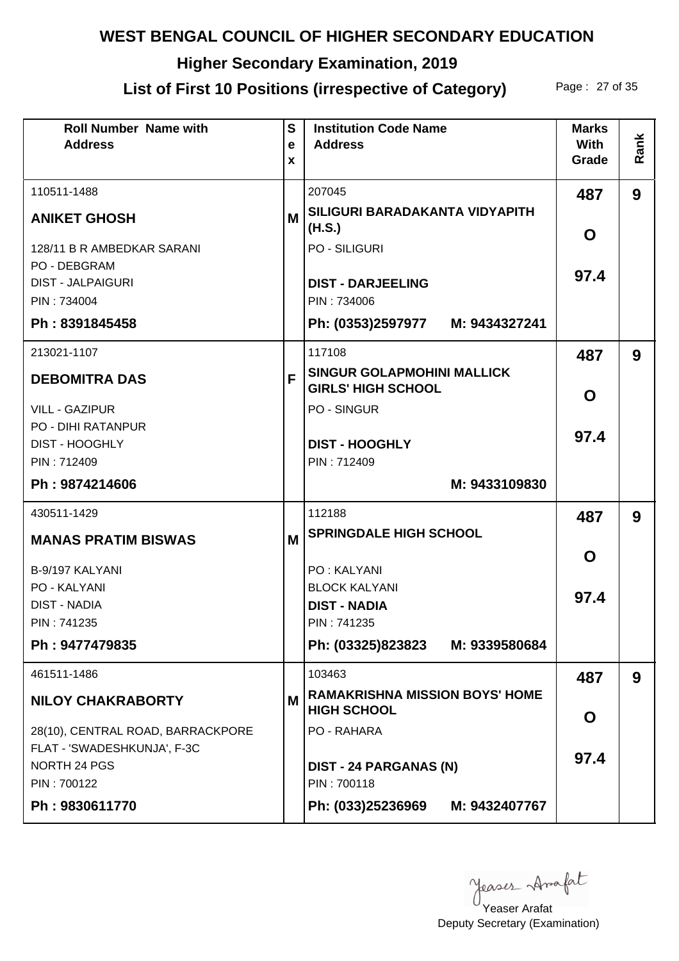# **Higher Secondary Examination, 2019**

## List of First 10 Positions (irrespective of Category) Page: 27 of 35

| <b>Roll Number Name with</b><br><b>Address</b>     | $\mathbf{s}$<br>e<br>X | <b>Institution Code Name</b><br><b>Address</b>                 | <b>Marks</b><br><b>With</b><br>Grade | Rank |
|----------------------------------------------------|------------------------|----------------------------------------------------------------|--------------------------------------|------|
| 110511-1488                                        |                        | 207045                                                         | 487                                  | 9    |
| <b>ANIKET GHOSH</b>                                | М                      | SILIGURI BARADAKANTA VIDYAPITH<br>(H.S.)                       | O                                    |      |
| 128/11 B R AMBEDKAR SARANI                         |                        | <b>PO - SILIGURI</b>                                           |                                      |      |
| <b>PO - DEBGRAM</b><br><b>DIST - JALPAIGURI</b>    |                        | <b>DIST - DARJEELING</b>                                       | 97.4                                 |      |
| PIN: 734004                                        |                        | PIN: 734006                                                    |                                      |      |
| Ph: 8391845458                                     |                        | Ph: (0353)2597977 M: 9434327241                                |                                      |      |
| 213021-1107                                        |                        | 117108                                                         | 487                                  | 9    |
| <b>DEBOMITRA DAS</b>                               | F                      | <b>SINGUR GOLAPMOHINI MALLICK</b><br><b>GIRLS' HIGH SCHOOL</b> | O                                    |      |
| <b>VILL - GAZIPUR</b>                              |                        | <b>PO - SINGUR</b>                                             |                                      |      |
| <b>PO - DIHI RATANPUR</b><br><b>DIST - HOOGHLY</b> |                        | <b>DIST - HOOGHLY</b>                                          | 97.4                                 |      |
| PIN: 712409                                        |                        | PIN: 712409                                                    |                                      |      |
| Ph: 9874214606                                     |                        | M: 9433109830                                                  |                                      |      |
| 430511-1429                                        |                        | 112188                                                         | 487                                  | 9    |
| <b>MANAS PRATIM BISWAS</b>                         | M                      | <b>SPRINGDALE HIGH SCHOOL</b>                                  |                                      |      |
| B-9/197 KALYANI                                    |                        | <b>PO: KALYANI</b>                                             | O                                    |      |
| PO - KALYANI                                       |                        | <b>BLOCK KALYANI</b>                                           |                                      |      |
| <b>DIST - NADIA</b>                                |                        | <b>DIST - NADIA</b>                                            | 97.4                                 |      |
| PIN: 741235                                        |                        | PIN: 741235                                                    |                                      |      |
| Ph: 9477479835                                     |                        | Ph: (03325)823823 M: 9339580684                                |                                      |      |
| 461511-1486                                        |                        | 103463                                                         | 487                                  | 9    |
| <b>NILOY CHAKRABORTY</b>                           | M                      | <b>RAMAKRISHNA MISSION BOYS' HOME</b><br><b>HIGH SCHOOL</b>    | O                                    |      |
| 28(10), CENTRAL ROAD, BARRACKPORE                  |                        | PO - RAHARA                                                    |                                      |      |
| FLAT - 'SWADESHKUNJA', F-3C<br>NORTH 24 PGS        |                        | <b>DIST - 24 PARGANAS (N)</b>                                  | 97.4                                 |      |
| PIN: 700122                                        |                        | PIN: 700118                                                    |                                      |      |
| Ph: 9830611770                                     |                        | Ph: (033)25236969<br>M: 9432407767                             |                                      |      |

yeases Anafat

Deputy Secretary (Examination) Yeaser Arafat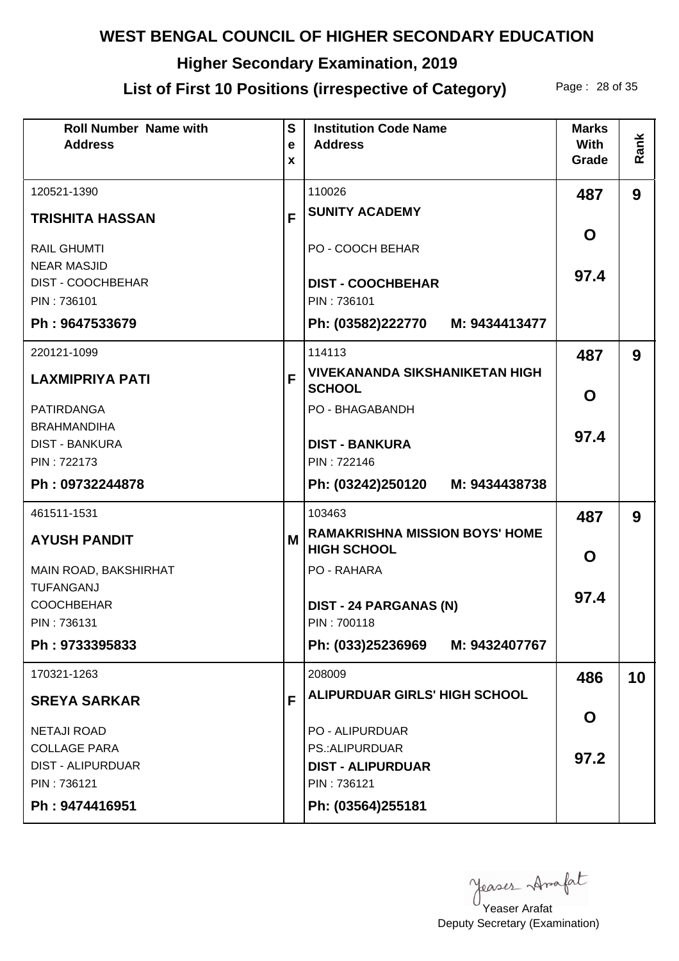# **Higher Secondary Examination, 2019**

# List of First 10 Positions (irrespective of Category) Page: 28 of 35

| <b>Roll Number Name with</b><br><b>Address</b> | S<br>e | <b>Institution Code Name</b><br><b>Address</b>              | <b>Marks</b><br><b>With</b> |      |
|------------------------------------------------|--------|-------------------------------------------------------------|-----------------------------|------|
|                                                | X      |                                                             | Grade                       | Rank |
| 120521-1390                                    |        | 110026                                                      | 487                         | 9    |
| <b>TRISHITA HASSAN</b>                         | F      | <b>SUNITY ACADEMY</b>                                       |                             |      |
| <b>RAIL GHUMTI</b><br><b>NEAR MASJID</b>       |        | PO - COOCH BEHAR                                            | O                           |      |
| DIST - COOCHBEHAR<br>PIN: 736101               |        | <b>DIST - COOCHBEHAR</b><br>PIN: 736101                     | 97.4                        |      |
| Ph: 9647533679                                 |        | Ph: (03582)222770 M: 9434413477                             |                             |      |
| 220121-1099                                    |        | 114113                                                      | 487                         | 9    |
| <b>LAXMIPRIYA PATI</b>                         | F      | <b>VIVEKANANDA SIKSHANIKETAN HIGH</b><br><b>SCHOOL</b>      | O                           |      |
| <b>PATIRDANGA</b>                              |        | PO - BHAGABANDH                                             |                             |      |
| <b>BRAHMANDIHA</b><br><b>DIST - BANKURA</b>    |        | <b>DIST - BANKURA</b>                                       | 97.4                        |      |
| PIN: 722173                                    |        | PIN: 722146                                                 |                             |      |
| Ph: 09732244878                                |        | Ph: (03242)250120 M: 9434438738                             |                             |      |
| 461511-1531                                    |        | 103463                                                      | 487                         | 9    |
| <b>AYUSH PANDIT</b>                            | M      | <b>RAMAKRISHNA MISSION BOYS' HOME</b><br><b>HIGH SCHOOL</b> | O                           |      |
| MAIN ROAD, BAKSHIRHAT                          |        | PO - RAHARA                                                 |                             |      |
| <b>TUFANGANJ</b><br><b>COOCHBEHAR</b>          |        | <b>DIST - 24 PARGANAS (N)</b>                               | 97.4                        |      |
| PIN: 736131                                    |        | PIN: 700118                                                 |                             |      |
| Ph: 9733395833                                 |        | Ph: (033)25236969 M: 9432407767                             |                             |      |
| 170321-1263                                    |        | 208009                                                      | 486                         | 10   |
| <b>SREYA SARKAR</b>                            | F      | <b>ALIPURDUAR GIRLS' HIGH SCHOOL</b>                        |                             |      |
| <b>NETAJI ROAD</b>                             |        | <b>PO - ALIPURDUAR</b>                                      | O                           |      |
| <b>COLLAGE PARA</b>                            |        | PS.: ALIPURDUAR                                             | 97.2                        |      |
| <b>DIST - ALIPURDUAR</b><br>PIN: 736121        |        | <b>DIST - ALIPURDUAR</b><br>PIN: 736121                     |                             |      |
| Ph: 9474416951                                 |        | Ph: (03564)255181                                           |                             |      |
|                                                |        |                                                             |                             |      |

Yeaser Arafat

Deputy Secretary (Examination)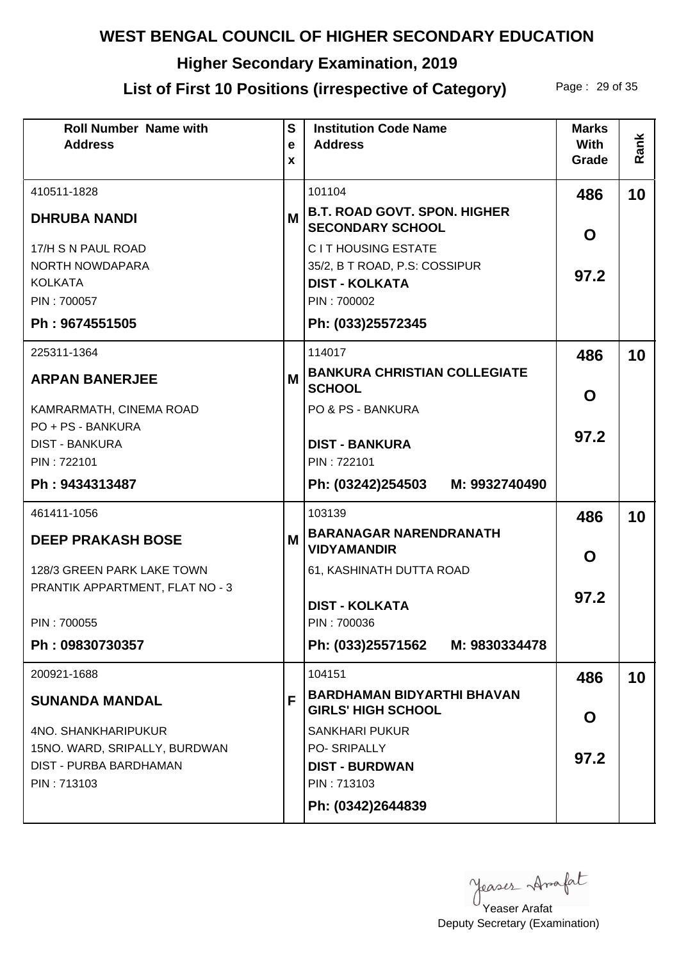# **Higher Secondary Examination, 2019**

# List of First 10 Positions (irrespective of Category) Page: 29 of 35

| <b>Roll Number Name with</b><br><b>Address</b>          | S<br>e | <b>Institution Code Name</b><br><b>Address</b>                                      | <b>Marks</b><br><b>With</b> |      |
|---------------------------------------------------------|--------|-------------------------------------------------------------------------------------|-----------------------------|------|
|                                                         | X      |                                                                                     | Grade                       | Rank |
| 410511-1828                                             |        | 101104                                                                              | 486                         | 10   |
| <b>DHRUBA NANDI</b>                                     | M      | <b>B.T. ROAD GOVT. SPON. HIGHER</b><br><b>SECONDARY SCHOOL</b>                      | O                           |      |
| 17/H S N PAUL ROAD<br>NORTH NOWDAPARA<br><b>KOLKATA</b> |        | <b>CIT HOUSING ESTATE</b><br>35/2, B T ROAD, P.S. COSSIPUR<br><b>DIST - KOLKATA</b> | 97.2                        |      |
| PIN: 700057                                             |        | PIN: 700002                                                                         |                             |      |
| Ph: 9674551505                                          |        | Ph: (033)25572345                                                                   |                             |      |
| 225311-1364                                             |        | 114017                                                                              | 486                         | 10   |
| <b>ARPAN BANERJEE</b>                                   | М      | <b>BANKURA CHRISTIAN COLLEGIATE</b><br><b>SCHOOL</b>                                | O                           |      |
| KAMRARMATH, CINEMA ROAD<br>PO + PS - BANKURA            |        | PO & PS - BANKURA                                                                   |                             |      |
| <b>DIST - BANKURA</b>                                   |        | <b>DIST - BANKURA</b>                                                               | 97.2                        |      |
| PIN: 722101                                             |        | PIN: 722101                                                                         |                             |      |
| Ph: 9434313487                                          |        | Ph: (03242)254503<br>M: 9932740490                                                  |                             |      |
| 461411-1056                                             |        | 103139                                                                              | 486                         | 10   |
| <b>DEEP PRAKASH BOSE</b>                                | M      | <b>BARANAGAR NARENDRANATH</b><br><b>VIDYAMANDIR</b>                                 | $\mathbf 0$                 |      |
| 128/3 GREEN PARK LAKE TOWN                              |        | 61, KASHINATH DUTTA ROAD                                                            |                             |      |
| PRANTIK APPARTMENT, FLAT NO - 3                         |        | <b>DIST - KOLKATA</b>                                                               | 97.2                        |      |
| PIN: 700055                                             |        | PIN: 700036                                                                         |                             |      |
| Ph: 09830730357                                         |        | Ph: (033)25571562 M: 9830334478                                                     |                             |      |
| 200921-1688                                             |        | 104151                                                                              | 486                         | 10   |
| <b>SUNANDA MANDAL</b>                                   | F      | <b>BARDHAMAN BIDYARTHI BHAVAN</b><br><b>GIRLS' HIGH SCHOOL</b>                      | O                           |      |
| <b>4NO. SHANKHARIPUKUR</b>                              |        | <b>SANKHARI PUKUR</b>                                                               |                             |      |
| 15NO. WARD, SRIPALLY, BURDWAN                           |        | PO-SRIPALLY                                                                         | 97.2                        |      |
| DIST - PURBA BARDHAMAN                                  |        | <b>DIST - BURDWAN</b>                                                               |                             |      |
| PIN: 713103                                             |        | PIN: 713103                                                                         |                             |      |
|                                                         |        | Ph: (0342)2644839                                                                   |                             |      |

Yeaser Arafat

Deputy Secretary (Examination)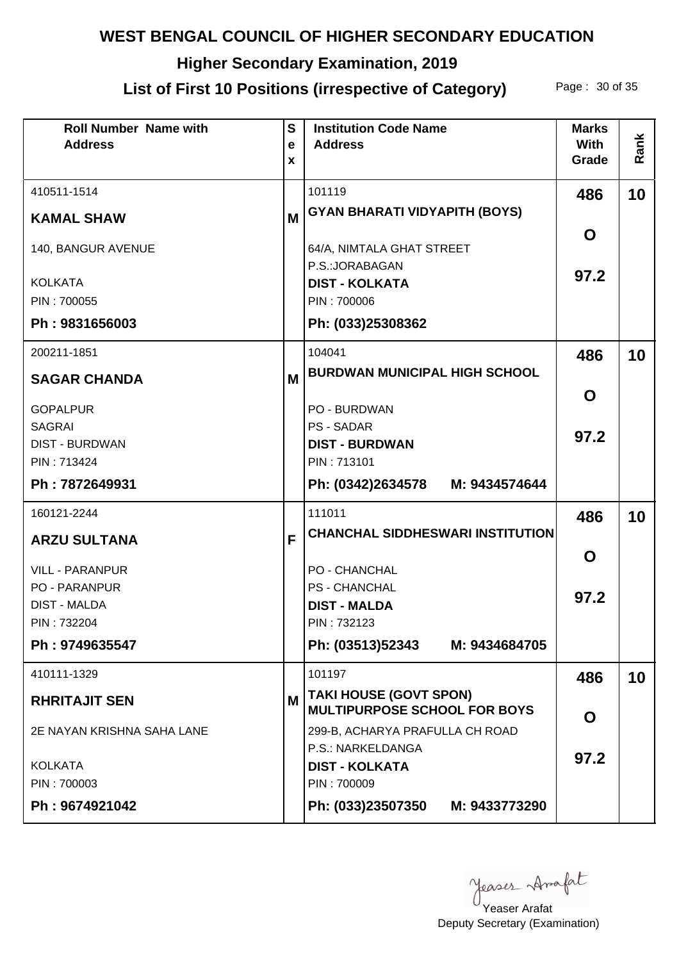# **Higher Secondary Examination, 2019**

## List of First 10 Positions (irrespective of Category) Page: 30 of 35

| <b>Roll Number Name with</b><br><b>Address</b>                                       | $\mathbf S$<br>e<br>X | <b>Institution Code Name</b><br><b>Address</b>                              | <b>Marks</b><br><b>With</b><br>Grade | Rank |
|--------------------------------------------------------------------------------------|-----------------------|-----------------------------------------------------------------------------|--------------------------------------|------|
| 410511-1514                                                                          |                       | 101119                                                                      | 486                                  | 10   |
| <b>KAMAL SHAW</b>                                                                    | M                     | <b>GYAN BHARATI VIDYAPITH (BOYS)</b>                                        | O                                    |      |
| 140, BANGUR AVENUE                                                                   |                       | 64/A, NIMTALA GHAT STREET<br>P.S.: JORABAGAN                                |                                      |      |
| <b>KOLKATA</b><br>PIN: 700055                                                        |                       | <b>DIST - KOLKATA</b><br>PIN: 700006                                        | 97.2                                 |      |
| Ph: 9831656003                                                                       |                       | Ph: (033)25308362                                                           |                                      |      |
| 200211-1851                                                                          |                       | 104041<br><b>BURDWAN MUNICIPAL HIGH SCHOOL</b>                              | 486                                  | 10   |
| <b>SAGAR CHANDA</b>                                                                  | M                     |                                                                             | O                                    |      |
| <b>GOPALPUR</b><br><b>SAGRAI</b><br><b>DIST - BURDWAN</b>                            |                       | PO - BURDWAN<br><b>PS - SADAR</b><br><b>DIST - BURDWAN</b>                  | 97.2                                 |      |
| PIN: 713424<br>Ph: 7872649931                                                        |                       | PIN: 713101<br>Ph: (0342)2634578 M: 9434574644                              |                                      |      |
| 160121-2244                                                                          |                       | 111011                                                                      | 486                                  | 10   |
| <b>ARZU SULTANA</b>                                                                  | F                     | <b>CHANCHAL SIDDHESWARI INSTITUTION</b>                                     | $\mathbf 0$                          |      |
| <b>VILL - PARANPUR</b><br><b>PO - PARANPUR</b><br><b>DIST - MALDA</b><br>PIN: 732204 |                       | PO - CHANCHAL<br><b>PS - CHANCHAL</b><br><b>DIST - MALDA</b><br>PIN: 732123 | 97.2                                 |      |
| Ph: 9749635547                                                                       |                       | Ph: (03513)52343 M: 9434684705                                              |                                      |      |
| 410111-1329                                                                          |                       | 101197                                                                      | 486                                  | 10   |
| <b>RHRITAJIT SEN</b>                                                                 | М                     | <b>TAKI HOUSE (GOVT SPON)</b><br><b>MULTIPURPOSE SCHOOL FOR BOYS</b>        | O                                    |      |
| 2E NAYAN KRISHNA SAHA LANE                                                           |                       | 299-B, ACHARYA PRAFULLA CH ROAD<br>P.S.: NARKELDANGA                        |                                      |      |
| <b>KOLKATA</b>                                                                       |                       | <b>DIST - KOLKATA</b><br>PIN: 700009                                        | 97.2                                 |      |
| PIN: 700003<br>Ph: 9674921042                                                        |                       | Ph: (033)23507350<br>M: 9433773290                                          |                                      |      |

Yeaser Arafat

Deputy Secretary (Examination)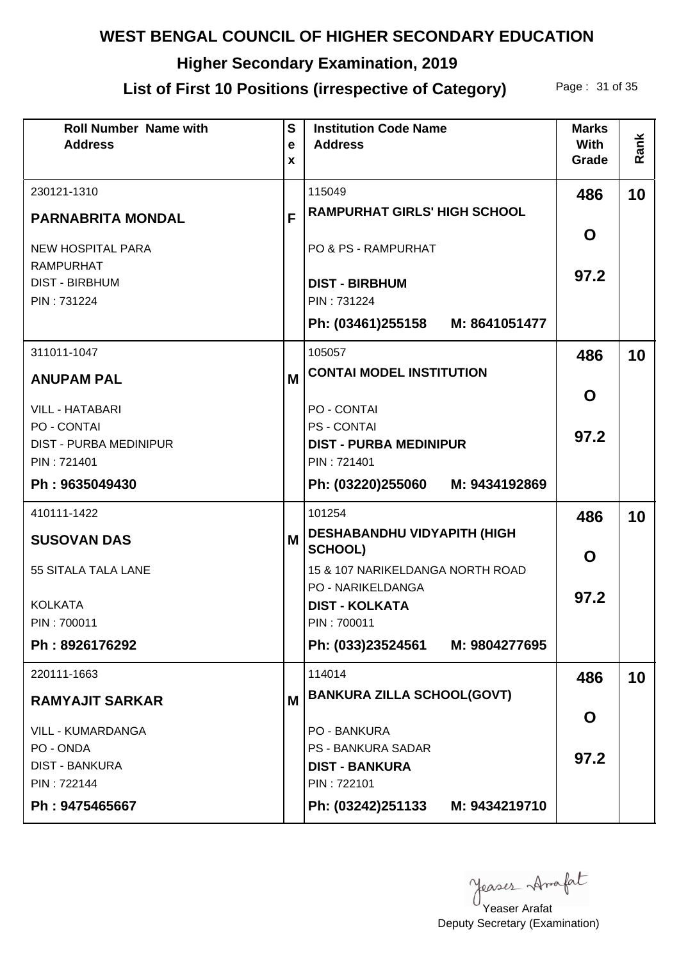# **Higher Secondary Examination, 2019**

# List of First 10 Positions (irrespective of Category) Page: 31 of 35

| <b>Roll Number Name with</b><br><b>Address</b>                 | $\mathbf{s}$<br>e<br>X | <b>Institution Code Name</b><br><b>Address</b>                            | <b>Marks</b><br><b>With</b><br>Grade | Rank |
|----------------------------------------------------------------|------------------------|---------------------------------------------------------------------------|--------------------------------------|------|
| 230121-1310                                                    |                        | 115049<br><b>RAMPURHAT GIRLS' HIGH SCHOOL</b>                             | 486                                  | 10   |
| <b>PARNABRITA MONDAL</b><br><b>NEW HOSPITAL PARA</b>           | F                      | <b>PO &amp; PS - RAMPURHAT</b>                                            | O                                    |      |
| <b>RAMPURHAT</b><br><b>DIST - BIRBHUM</b><br>PIN: 731224       |                        | <b>DIST - BIRBHUM</b><br>PIN: 731224                                      | 97.2                                 |      |
|                                                                |                        | Ph: (03461)255158 M: 8641051477                                           |                                      |      |
| 311011-1047<br><b>ANUPAM PAL</b>                               | M                      | 105057<br><b>CONTAI MODEL INSTITUTION</b>                                 | 486                                  | 10   |
| <b>VILL - HATABARI</b>                                         |                        | PO - CONTAI                                                               | O                                    |      |
| PO - CONTAI<br><b>DIST - PURBA MEDINIPUR</b><br>PIN: 721401    |                        | <b>PS - CONTAI</b><br><b>DIST - PURBA MEDINIPUR</b><br>PIN: 721401        | 97.2                                 |      |
| Ph: 9635049430                                                 |                        | Ph: (03220)255060<br>M: 9434192869                                        |                                      |      |
| 410111-1422                                                    |                        | 101254                                                                    | 486                                  | 10   |
| <b>SUSOVAN DAS</b>                                             | M                      | <b>DESHABANDHU VIDYAPITH (HIGH</b><br><b>SCHOOL)</b>                      | $\mathbf O$                          |      |
| 55 SITALA TALA LANE                                            |                        | 15 & 107 NARIKELDANGA NORTH ROAD<br>PO - NARIKELDANGA                     |                                      |      |
| <b>KOLKATA</b><br>PIN: 700011                                  |                        | <b>DIST - KOLKATA</b><br>PIN: 700011                                      | 97.2                                 |      |
| Ph: 8926176292                                                 |                        | Ph: (033)23524561 M: 9804277695                                           |                                      |      |
| 220111-1663                                                    |                        | 114014                                                                    | 486                                  | 10   |
| <b>RAMYAJIT SARKAR</b>                                         | M                      | <b>BANKURA ZILLA SCHOOL(GOVT)</b>                                         | O                                    |      |
| <b>VILL - KUMARDANGA</b><br>PO - ONDA<br><b>DIST - BANKURA</b> |                        | <b>PO - BANKURA</b><br><b>PS - BANKURA SADAR</b><br><b>DIST - BANKURA</b> | 97.2                                 |      |
| PIN: 722144<br>Ph: 9475465667                                  |                        | PIN: 722101<br>Ph: (03242)251133 M: 9434219710                            |                                      |      |

Yeaser Arafat

Deputy Secretary (Examination)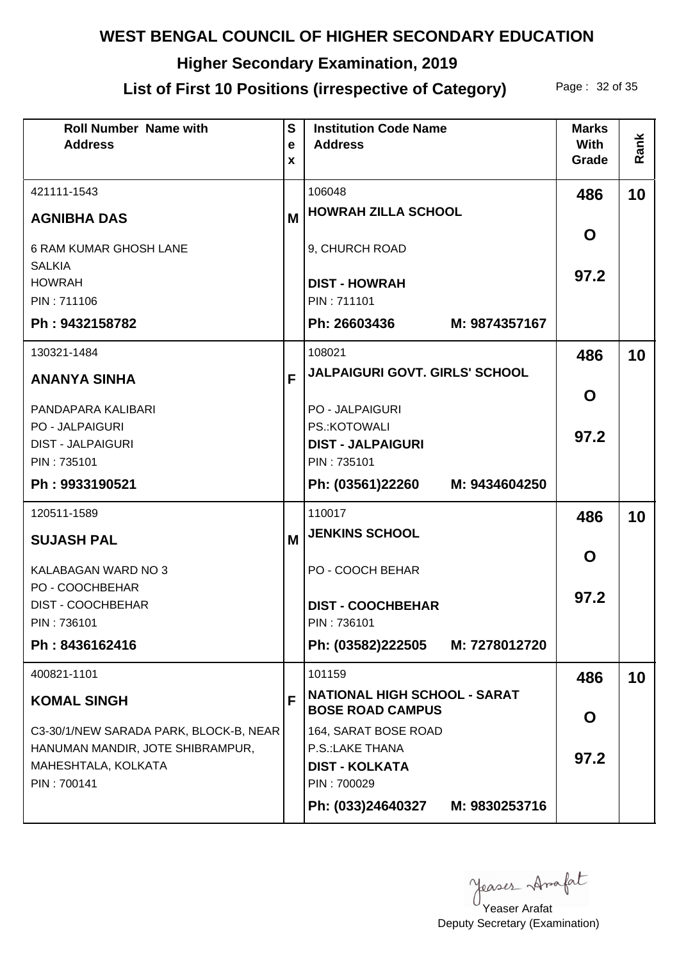# **Higher Secondary Examination, 2019**

# List of First 10 Positions (irrespective of Category) Page: 32 of 35

| <b>Roll Number Name with</b><br><b>Address</b> | S<br>e<br>X | <b>Institution Code Name</b><br><b>Address</b>                 | <b>Marks</b><br><b>With</b><br>Grade | Rank |
|------------------------------------------------|-------------|----------------------------------------------------------------|--------------------------------------|------|
| 421111-1543                                    |             | 106048                                                         | 486                                  | 10   |
| <b>AGNIBHA DAS</b>                             | M           | <b>HOWRAH ZILLA SCHOOL</b>                                     |                                      |      |
| <b>6 RAM KUMAR GHOSH LANE</b>                  |             | 9, CHURCH ROAD                                                 | O                                    |      |
| <b>SALKIA</b><br><b>HOWRAH</b>                 |             | <b>DIST - HOWRAH</b>                                           | 97.2                                 |      |
| PIN: 711106                                    |             | PIN: 711101                                                    |                                      |      |
| Ph: 9432158782                                 |             | Ph: 26603436<br>M: 9874357167                                  |                                      |      |
| 130321-1484                                    |             | 108021                                                         | 486                                  | 10   |
| <b>ANANYA SINHA</b>                            | F           | JALPAIGURI GOVT. GIRLS' SCHOOL                                 |                                      |      |
| PANDAPARA KALIBARI                             |             | <b>PO - JALPAIGURI</b>                                         | O                                    |      |
| <b>PO - JALPAIGURI</b>                         |             | PS.: KOTOWALI                                                  | 97.2                                 |      |
| <b>DIST - JALPAIGURI</b>                       |             | <b>DIST - JALPAIGURI</b>                                       |                                      |      |
| PIN: 735101                                    |             | PIN: 735101                                                    |                                      |      |
| Ph: 9933190521                                 |             | Ph: (03561)22260 M: 9434604250                                 |                                      |      |
| 120511-1589                                    |             | 110017                                                         | 486                                  | 10   |
| <b>SUJASH PAL</b>                              | M           | <b>JENKINS SCHOOL</b>                                          |                                      |      |
| KALABAGAN WARD NO 3                            |             | PO - COOCH BEHAR                                               | O                                    |      |
| PO - COOCHBEHAR                                |             |                                                                | 97.2                                 |      |
| DIST - COOCHBEHAR<br>PIN: 736101               |             | <b>DIST - COOCHBEHAR</b><br>PIN: 736101                        |                                      |      |
| Ph: 8436162416                                 |             | Ph: (03582)222505 M: 7278012720                                |                                      |      |
| 400821-1101                                    |             | 101159                                                         | 486                                  | 10   |
| <b>KOMAL SINGH</b>                             | F           | <b>NATIONAL HIGH SCHOOL - SARAT</b><br><b>BOSE ROAD CAMPUS</b> |                                      |      |
| C3-30/1/NEW SARADA PARK, BLOCK-B, NEAR         |             | 164, SARAT BOSE ROAD                                           | O                                    |      |
| HANUMAN MANDIR, JOTE SHIBRAMPUR,               |             | P.S.:LAKE THANA                                                |                                      |      |
| MAHESHTALA, KOLKATA                            |             | <b>DIST - KOLKATA</b>                                          | 97.2                                 |      |
| PIN: 700141                                    |             | PIN: 700029                                                    |                                      |      |
|                                                |             | Ph: (033)24640327<br>M: 9830253716                             |                                      |      |

Yeaser Arafat

Deputy Secretary (Examination)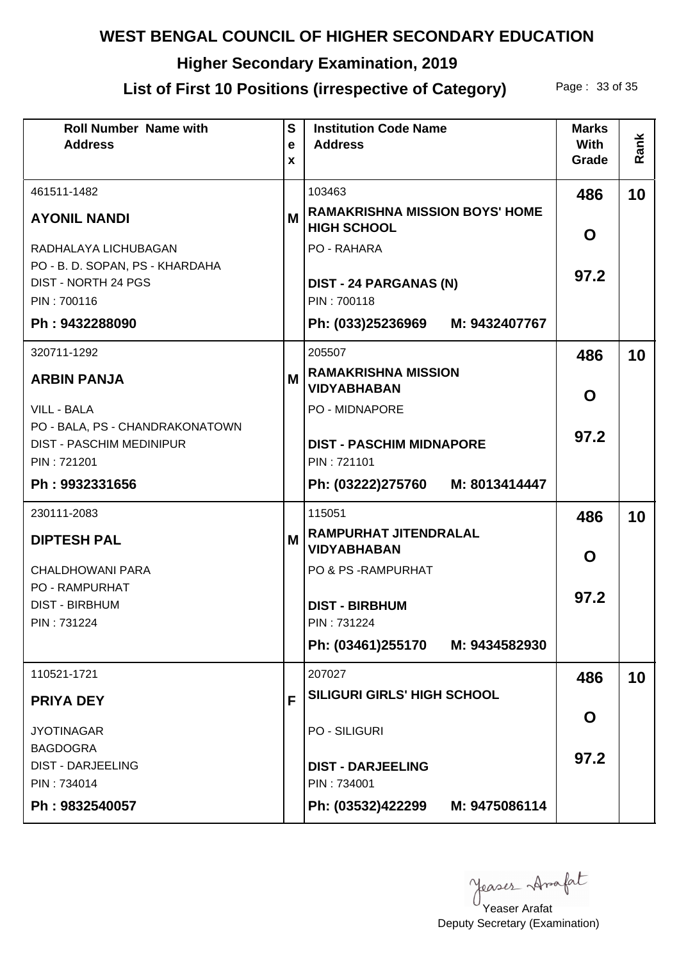# **Higher Secondary Examination, 2019**

# List of First 10 Positions (irrespective of Category) Page: 33 of 35

| <b>Roll Number Name with</b><br><b>Address</b>                     | S<br>e<br>X | <b>Institution Code Name</b><br><b>Address</b>              | <b>Marks</b><br>With<br>Grade | Rank |
|--------------------------------------------------------------------|-------------|-------------------------------------------------------------|-------------------------------|------|
| 461511-1482                                                        |             | 103463                                                      | 486                           | 10   |
| <b>AYONIL NANDI</b>                                                | M           | <b>RAMAKRISHNA MISSION BOYS' HOME</b><br><b>HIGH SCHOOL</b> | O                             |      |
| RADHALAYA LICHUBAGAN                                               |             | PO - RAHARA                                                 |                               |      |
| PO - B. D. SOPAN, PS - KHARDAHA<br><b>DIST - NORTH 24 PGS</b>      |             | <b>DIST - 24 PARGANAS (N)</b>                               | 97.2                          |      |
| PIN: 700116                                                        |             | PIN: 700118                                                 |                               |      |
| Ph: 9432288090                                                     |             | Ph: (033)25236969 M: 9432407767                             |                               |      |
| 320711-1292                                                        |             | 205507                                                      | 486                           | 10   |
| <b>ARBIN PANJA</b>                                                 | M           | <b>RAMAKRISHNA MISSION</b><br><b>VIDYABHABAN</b>            | O                             |      |
| <b>VILL - BALA</b>                                                 |             | PO - MIDNAPORE                                              |                               |      |
| PO - BALA, PS - CHANDRAKONATOWN<br><b>DIST - PASCHIM MEDINIPUR</b> |             | <b>DIST - PASCHIM MIDNAPORE</b>                             | 97.2                          |      |
| PIN: 721201                                                        |             | PIN: 721101                                                 |                               |      |
| Ph: 9932331656                                                     |             | Ph: (03222)275760 M: 8013414447                             |                               |      |
| 230111-2083                                                        |             | 115051                                                      | 486                           | 10   |
| <b>DIPTESH PAL</b>                                                 | М           | <b>RAMPURHAT JITENDRALAL</b><br><b>VIDYABHABAN</b>          | O                             |      |
| <b>CHALDHOWANI PARA</b>                                            |             | PO & PS - RAMPURHAT                                         |                               |      |
| <b>PO - RAMPURHAT</b><br><b>DIST - BIRBHUM</b>                     |             | <b>DIST - BIRBHUM</b>                                       | 97.2                          |      |
| PIN: 731224                                                        |             | PIN: 731224                                                 |                               |      |
|                                                                    |             | Ph: (03461)255170 M: 9434582930                             |                               |      |
| 110521-1721                                                        |             | 207027                                                      | 486                           | 10   |
| <b>PRIYA DEY</b>                                                   | F           | SILIGURI GIRLS' HIGH SCHOOL                                 |                               |      |
| <b>JYOTINAGAR</b>                                                  |             | <b>PO - SILIGURI</b>                                        | O                             |      |
| <b>BAGDOGRA</b><br><b>DIST - DARJEELING</b>                        |             |                                                             | 97.2                          |      |
| PIN: 734014                                                        |             | <b>DIST - DARJEELING</b><br>PIN: 734001                     |                               |      |
| Ph: 9832540057                                                     |             | Ph: (03532)422299 M: 9475086114                             |                               |      |

Yeaser Arafat

Deputy Secretary (Examination)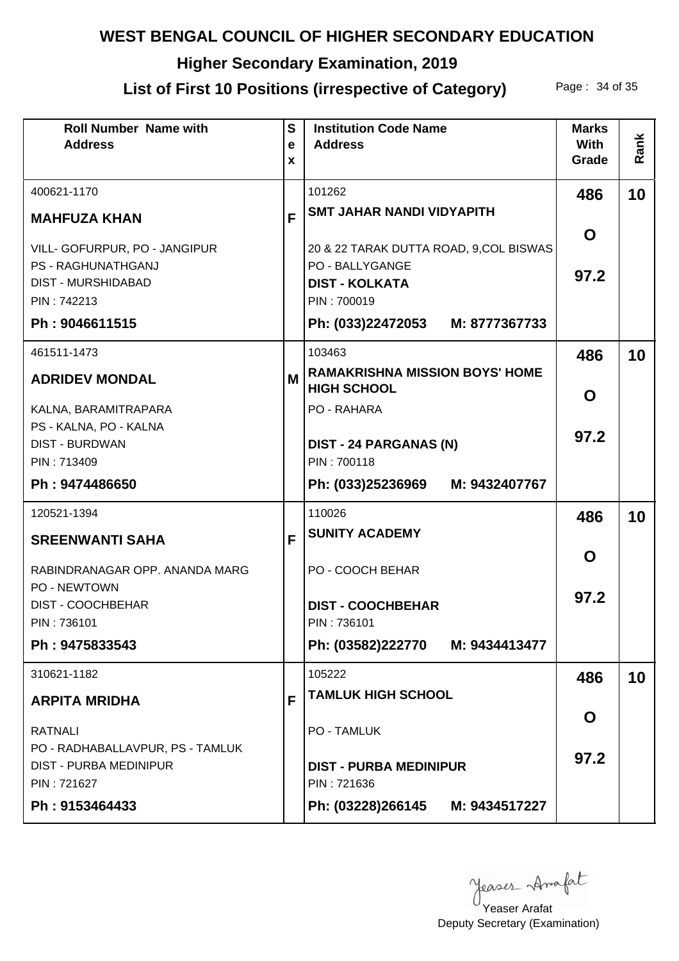# **Higher Secondary Examination, 2019**

# List of First 10 Positions (irrespective of Category) Page: 34 of 35

| <b>Roll Number Name with</b><br><b>Address</b>                                                         | S<br>e<br>X | <b>Institution Code Name</b><br><b>Address</b>                                                            | <b>Marks</b><br><b>With</b><br>Grade | Rank |
|--------------------------------------------------------------------------------------------------------|-------------|-----------------------------------------------------------------------------------------------------------|--------------------------------------|------|
| 400621-1170                                                                                            |             | 101262                                                                                                    | 486                                  | 10   |
| <b>MAHFUZA KHAN</b>                                                                                    | F           | <b>SMT JAHAR NANDI VIDYAPITH</b>                                                                          |                                      |      |
| VILL- GOFURPUR, PO - JANGIPUR<br><b>PS - RAGHUNATHGANJ</b><br><b>DIST - MURSHIDABAD</b><br>PIN: 742213 |             | 20 & 22 TARAK DUTTA ROAD, 9, COL BISWAS<br><b>PO - BALLYGANGE</b><br><b>DIST - KOLKATA</b><br>PIN: 700019 | O<br>97.2                            |      |
| Ph: 9046611515                                                                                         |             | Ph: (033)22472053 M: 8777367733                                                                           |                                      |      |
| 461511-1473                                                                                            |             | 103463                                                                                                    | 486                                  | 10   |
| <b>ADRIDEV MONDAL</b>                                                                                  | M           | <b>RAMAKRISHNA MISSION BOYS' HOME</b><br><b>HIGH SCHOOL</b>                                               | O                                    |      |
| KALNA, BARAMITRAPARA                                                                                   |             | PO - RAHARA                                                                                               |                                      |      |
| PS - KALNA, PO - KALNA<br><b>DIST - BURDWAN</b>                                                        |             | <b>DIST - 24 PARGANAS (N)</b>                                                                             | 97.2                                 |      |
| PIN: 713409                                                                                            |             | PIN: 700118                                                                                               |                                      |      |
| Ph: 9474486650                                                                                         |             | Ph: (033)25236969 M: 9432407767                                                                           |                                      |      |
| 120521-1394                                                                                            |             | 110026                                                                                                    | 486                                  | 10   |
| <b>SREENWANTI SAHA</b>                                                                                 | F           | <b>SUNITY ACADEMY</b>                                                                                     |                                      |      |
| RABINDRANAGAR OPP. ANANDA MARG                                                                         |             | PO - COOCH BEHAR                                                                                          | O                                    |      |
| PO - NEWTOWN<br>DIST - COOCHBEHAR                                                                      |             | <b>DIST - COOCHBEHAR</b>                                                                                  | 97.2                                 |      |
| PIN: 736101<br>Ph: 9475833543                                                                          |             | PIN: 736101<br>Ph: (03582)222770 M: 9434413477                                                            |                                      |      |
| 310621-1182                                                                                            |             | 105222                                                                                                    | 486                                  | 10   |
| <b>ARPITA MRIDHA</b>                                                                                   | F           | <b>TAMLUK HIGH SCHOOL</b>                                                                                 |                                      |      |
| <b>RATNALI</b>                                                                                         |             | <b>PO - TAMLUK</b>                                                                                        | O                                    |      |
| PO - RADHABALLAVPUR, PS - TAMLUK<br><b>DIST - PURBA MEDINIPUR</b><br>PIN: 721627<br>Ph: 9153464433     |             | <b>DIST - PURBA MEDINIPUR</b><br>PIN: 721636<br>Ph: (03228)266145 M: 9434517227                           | 97.2                                 |      |
|                                                                                                        |             |                                                                                                           |                                      |      |

Yeaser Arafat

Deputy Secretary (Examination)